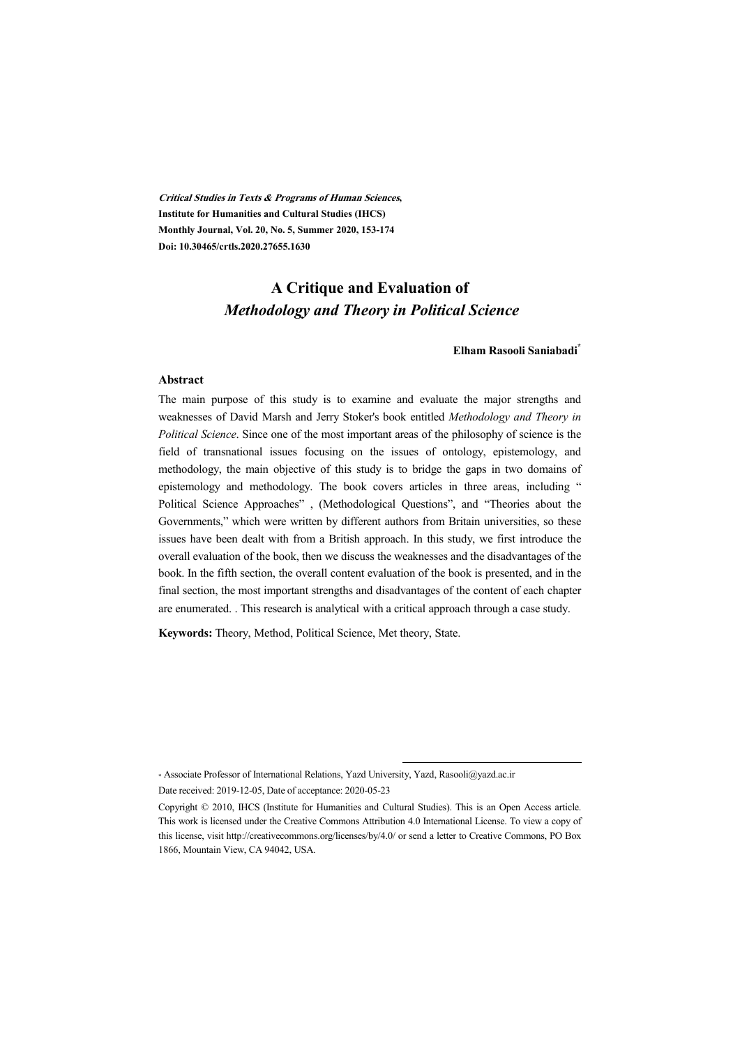**Critical Studies in Texts & Programs of Human Sciences, Institute for Humanities and Cultural Studies (IHCS) Monthly Journal, Vol. 20, No. 5, Summer 2020, 153-174 Doi: 10.30465/crtls.2020.27655.1630** 

## **A Critique and Evaluation of**  *Methodology and Theory in Political Science*

#### **Elham Rasooli Saniabadi\***

#### **Abstract**

The main purpose of this study is to examine and evaluate the major strengths and weaknesses of David Marsh and Jerry Stoker's book entitled *Methodology and Theory in Political Science*. Since one of the most important areas of the philosophy of science is the field of transnational issues focusing on the issues of ontology, epistemology, and methodology, the main objective of this study is to bridge the gaps in two domains of epistemology and methodology. The book covers articles in three areas, including " Political Science Approaches" , (Methodological Questions", and "Theories about the Governments," which were written by different authors from Britain universities, so these issues have been dealt with from a British approach. In this study, we first introduce the overall evaluation of the book, then we discuss the weaknesses and the disadvantages of the book. In the fifth section, the overall content evaluation of the book is presented, and in the final section, the most important strengths and disadvantages of the content of each chapter are enumerated. . This research is analytical with a critical approach through a case study.

**Keywords:** Theory, Method, Political Science, Met theory, State.

.

<sup>\*</sup> Associate Professor of International Relations, Yazd University, Yazd, Rasooli@yazd.ac.ir Date received: 2019-12-05, Date of acceptance: 2020-05-23

Copyright © 2010, IHCS (Institute for Humanities and Cultural Studies). This is an Open Access article. This work is licensed under the Creative Commons Attribution 4.0 International License. To view a copy of this license, visit http://creativecommons.org/licenses/by/4.0/ or send a letter to Creative Commons, PO Box 1866, Mountain View, CA 94042, USA.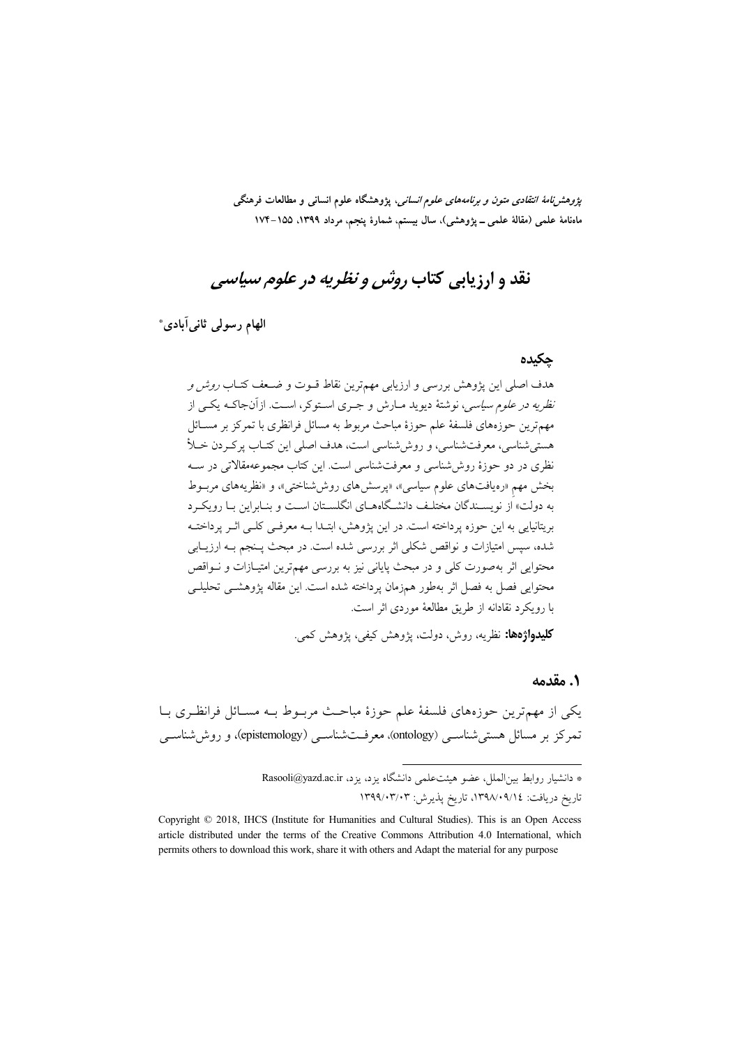*پژوهشنامهٔ انتقادی متون و برنامههای علوم انسانی*، پژوهشگاه علوم انسانی و مطالعات فرهنگی ماهنامهٔ علمی (مقالهٔ علمی ــ پژوهشی)، سال بیستم، شمارهٔ پنجم، مرداد ۱۳۹۹، ۱۵۵–۱۷۴

# نقد و ارزیابی کتاب *روش و نظریه در علوم سیاسی*

الهام رسولي ثاني آبادي.\*

#### چکیدہ

هدف اصلی این پژوهش بررسی و ارزیابی مهمترین نقاط قـوت و ضـعف کتـاب *روش و* نظریه در علوم *سیاسی*، نوشتهٔ دیوید مبارش و جبری استوکر، است. ازآنجاکـه یکـی از مهمترین حوزههای فلسفهٔ علم حوزهٔ مباحث مربوط به مسائل فرانظری با تمرکز بر مسـائل هستي شناسي، معرفت شناسي، و روش شناسي است، هدف اصلي اين كتــاب يوكــردن خــلأ نظری در دو حوزهٔ روش،شناسی و معرفتشناسی است. این کتاب مجموعهمقالاتی در ســه بخش مهم «رەيافتهاي علوم سياسي»، «يرسش هاي روش شناختې»، و «نظريههاي مربسوط به دولت» از نویسـندگان مختلـف دانشـگاههــای انگلسـتان اســت و بنــابراین بــا رویکــرد بریتانیایی به این حوزه پرداخته است. در این پژوهش، ابتـدا بـه معرفـی کلـی اثـر پرداختـه شده، سیس امتیازات و نواقص شکلی اثر بررسی شده است. در مبحث پــنجم بــه ارزیــابی محتوایی اثر بهصورت کلی و در مبحث پایانی نیز به بررسی مهمترین امتیـازات و نــواقص محتوایی فصل به فصل اثر بهطور همزمان پرداخته شده است. این مقاله پژوهشــی تحلیلــی با رویکرد نقادانه از طریق مطالعهٔ موردی اثر است.

**کلیدواژهها:** نظریه، روش، دولت، یژوهش کیفی، یژوهش کمی.

#### ٠. مقدمه

یکی از مهمترین حوزههای فلسفهٔ علم حوزهٔ مباحث مربـوط بـه مسـائل فرانظـری بـا تمرکز بر مسائل هستی شناســی (ontology)، معرفـتشناســی (epistemology)، و روش شناســی

<sup>\*</sup> دانشیار روابط بین(لملل، عضو هیئتعلمی دانشگاه یزد، یزد، Rasooli@yazd.ac.ir تاريخ دريافت: ١٣٩٨/٠٩/١٤، تاريخ پذيرش: ١٣٩٩/٠٣/٠٣

Copyright © 2018, IHCS (Institute for Humanities and Cultural Studies). This is an Open Access article distributed under the terms of the Creative Commons Attribution 4.0 International, which permits others to download this work, share it with others and Adapt the material for any purpose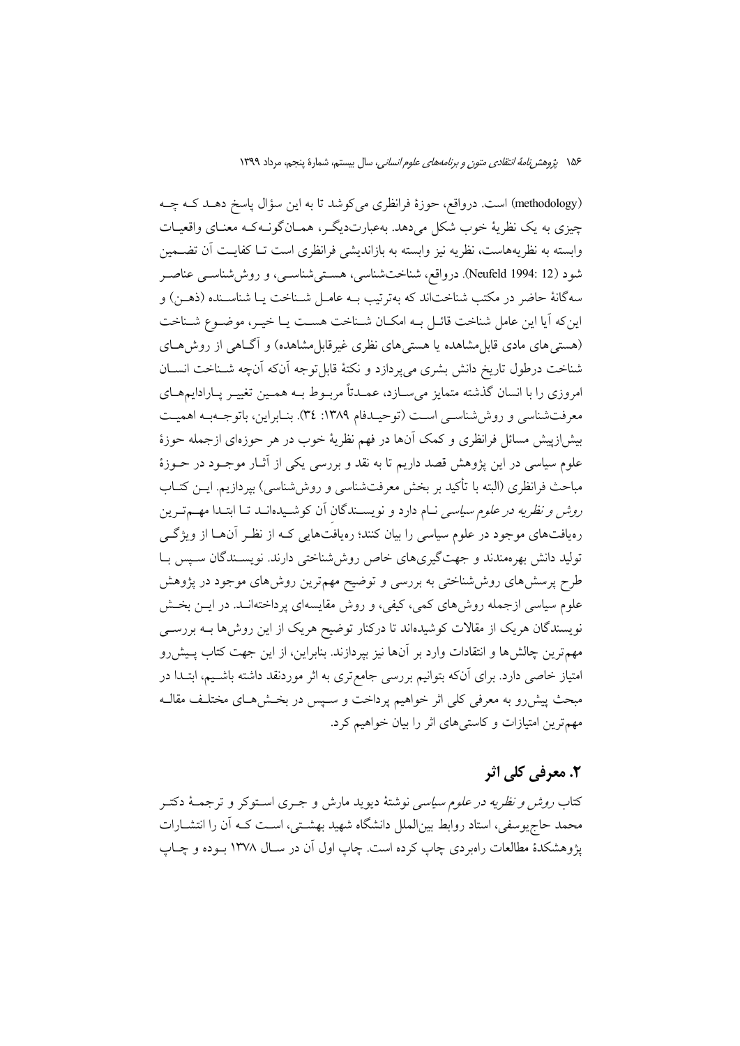(methodology) است. درواقع، حوزهٔ فرانظری میکوشد تا به این سؤال پاسخ دهـد کـه چـه چیزی به یک نظریهٔ خوب شکل میدهد. بهعبارتدیگر، همـانگونـهکـه معنـای واقعیـات وابسته به نظريههاست، نظريه نيز وابسته به بازانديشي فرانظري است تــا كفايــت أن تضــمين شود (Neufeld 1994: 12). درواقع، شناختشناسی، هستیشناسـی، و روششناسـی عناصـر سهگانهٔ حاضر در مکتب شناختاند که بهترتیب بـه عامـل شـناخت یـا شناسـنده (ذهـن) و این که آیا این عامل شناخت قائـل بـه امکـان شـناخت هسـت یـا خیـر، موضـوع شـناخت (هستی های مادی قابل مشاهده یا هستی های نظری غیرقابل مشاهده) و آگـاهی از روش هـای شناخت درطول تاريخ دانش بشرى مى پردازد و نكتهٔ قابل توجه آنكه آنچه شـناخت انســان امروزی را با انسان گذشته متمایز میسازد، عمـدتاً مربـوط بـه همـین تغییـر پـارادایمهـای معرفتشناسی و روش شناسـی اسـت (توحیـدفام ١٣٨٩: ٣٤). بنـابراین، باتوجـهبـه اهمیـت بیش(زپیش مسائل فرانظری و کمک آنها در فهم نظریهٔ خوب در هر حوزهای ازجمله حوزهٔ علوم سیاسی در این پژوهش قصد داریم تا به نقد و بررسی یکی از آثـار موجـود در حـوزهٔ مباحث فرانظری (البته با تأکید بر بخش معرفتشناسی و روششناسی) بپردازیم. ایــن کتــاب ر*وش و نظریه در علوم سیاسی* نــام دارد و نویســندگان آن کوشــیدهانــد تــا ابتــدا مهــمتـرین رهیافتهای موجود در علوم سیاسی را بیان کنند؛ رهیافتهایی کـه از نظـر آنهـا از ویژگـی تولید دانش بهرهمندند و جهتگیریهای خاص روش شناختی دارند. نویسـندگان سـپس بـا طرح پرسشهای روششناختی به بررسی و توضیح مهمترین روشهای موجود در پژوهش علوم سیاسی ازجمله روش۵ای کمی، کیفی، و روش مقایسهای پرداختهانـد. در ایــن بخـش نویسندگان هریک از مقالات کوشیدهاند تا درکنار توضیح هریک از این روش۵ها بــه بررســی مهمترین چالش ها و انتقادات وارد بر آنها نیز بپردازند. بنابراین، از این جهت کتاب پـیش(و امتیاز خاصی دارد. برای آنکه بتوانیم بررسی جامع تری به اثر موردنقد داشته باشـیم، ابتـدا در مبحث پیشررو به معرفی کلی اثر خواهیم پرداخت و سـپس در بخـش۵حـای مختلـف مقالـه مهم ترین امتیازات و کاستی های اثر را بیان خواهیم کرد.

## ٢. معرفي کلي اثر

کتاب *روش و نظریه در علوم سیاسی* نوشتهٔ دیوید مارش و جــری اســتوکر و ترجمــهٔ دکتــر محمد حاج یوسفی، استاد روابط بینالملل دانشگاه شهید بهشــتی، اســت کــه اَن را انتشــارات یژوهشکدهٔ مطالعات راهبردی چاپ کرده است. چاپ اول آن در سـال ۱۳۷۸ بـوده و چـاپ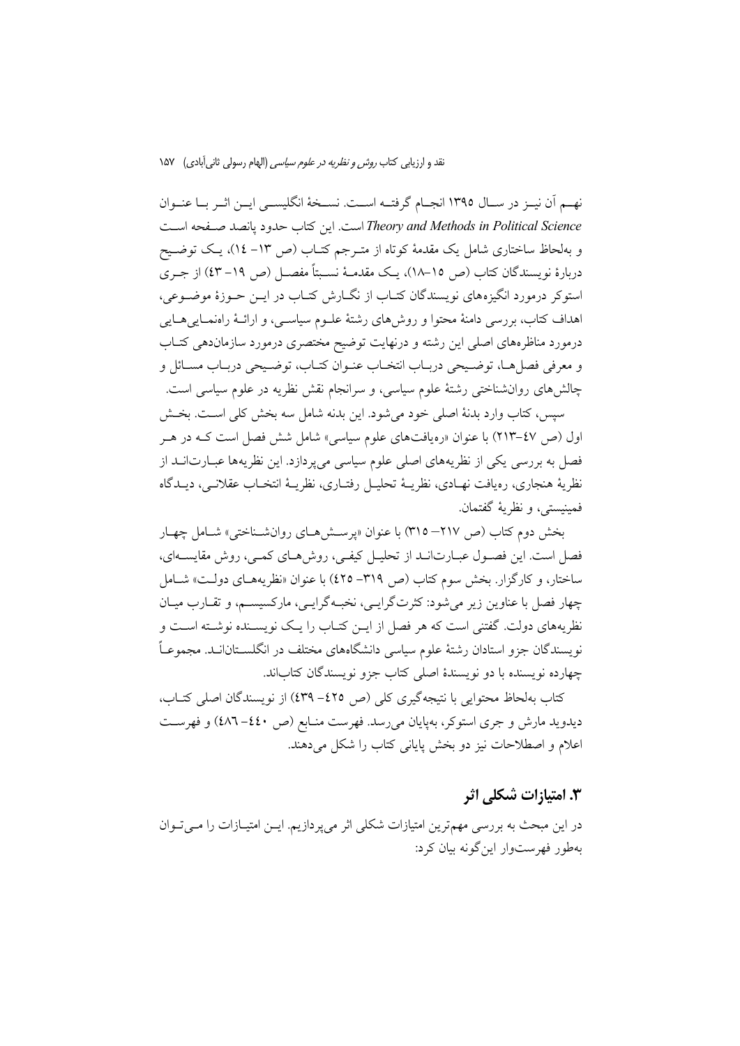نهم أن نيـز در سـال ١٣٩٥ انجـام گرفتــه اســت. نســخهٔ انگليســي ايــن اثــر بــا عنــوان Theory and Methods in Political Science است. این کتاب حدود یانصد صفحه است و بهلحاظ ساختاری شامل یک مقدمهٔ کوتاه از متـرجم کتـاب (ص ١٣- ١٤)، یـک توضـیح دربارهٔ نویسندگان کتاب (ص ۱۵–۱۸)، یک مقدمـهٔ نسـبتاً مفصـل (ص ۱۹– ٤۳) از جـری استوکر درمورد انگیزههای نویسندگان کتـاب از نگــارش کتـاب در ايــن حــوزهٔ موضــوعی، اهداف كتاب، بررسي دامنهٔ محتوا و روش۵ماي رشتهٔ علـوم سياســي، و ارائــهٔ راەنمــايي هــايي درمورد مناظرههای اصلی این رشته و درنهایت توضیح مختصری درمورد سازماندهی کتـاب و معرفي فصلها، توضيحي دربـاب انتخـاب عنـوان كتـاب، توضـيحي دربـاب مسـائل و چالشهای روانشناختی رشتهٔ علوم سیاسی، و سرانجام نقش نظریه در علوم سیاسی است.

سيس، كتاب وارد بدنهٔ اصلى خود مى شود. اين بدنه شامل سه بخش كلى اسـت. بخـش اول (ص ٤٧-٢١٣) با عنوان «رەيافتهاى علوم سياسى» شامل شش فصل است كـه در هـر فصل به بررسی یکی از نظریههای اصلی علوم سیاسی میپردازد. این نظریهها عبـارت|نــد از نظريهٔ هنجاري، رەپافت نهــادي، نظريــهٔ تحليــل رفتــاري، نظريــهٔ انتخــاب عقلانــي، ديــدگاه فمينيستي، و نظريهٔ گفتمان.

بخش دوم كتاب (ص ٢١٧– ٣١٥) با عنوان «پرستش هاى روان شناختى» شامل چهار فصل است. این فصـول عبـارتانـد از تحليـل كيفـي، روش١مـاي كمـي، روش مقايســهاي، ساختار، و کارگزار. بخش سوم کتاب (ص ٣١٩– ٤٢٥) با عنوان «نظريههـاي دولـت» شــامل چهار فصل با عناوین زیر میشود: کثرتگرایسی، نخبـهگرایسی، مارکسیسـم، و تقــارب میــان نظریههای دولت. گفتنی است که هر فصل از ایــن کتــاب را یــک نویســنده نوشــته اســت و نویسندگان جزو استادان رشتهٔ علوم سیاسی دانشگاههای مختلف در انگلســتان|نــد. مجموعـاً چهارده نویسنده با دو نویسندهٔ اصلی کتاب جزو نویسندگان کتاباند.

كتاب بهلحاظ محتوايي با نتيجه گيري كلي (ص ٤٢٥-٤٣٩) از نويسندگان اصلي كتــاب، دیدوید مارش و جری استوکر، بهپایان میرسد. فهرست منـابع (ص ٤٤٠–٤٨٦) و فهرسـت اعلام و اصطلاحات نیز دو بخش پایانی کتاب را شکل می دهند.

### 3. امتيا;ات شكلي اثر

در این مبحث به بررسی مهمترین امتیازات شکلی اثر میپردازیم. ایــن امتیــازات را مــیتــوان بهطور فهرستوار اینگونه بیان کرد: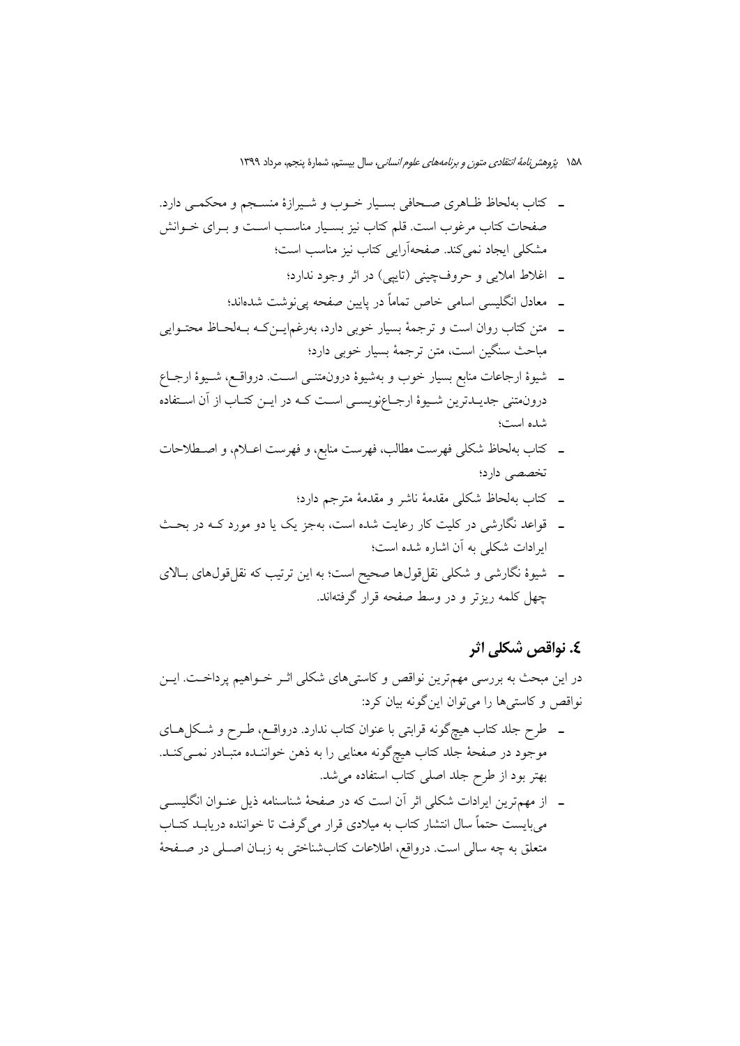۱۵۸ پژوهش *نامهٔ انتقادی متون و برنامههای علوم انسانی،* سال بیستم، شمارهٔ پنجم، مرداد ۱۳۹۹

- ۔ کتاب بهلحاظ ظـاهری صـحافی بسـیار خـوب و شـیرازهٔ منسـجم و محکمـی دارد. صفحات کتاب مرغوب است. قلم کتاب نیز بسـیار مناسـب اسـت و بـرای خـوانش مشکلی ایجاد نمی کند. صفحهآرایی کتاب نیز مناسب است؛
	- \_ اغلاط املايي و حروفچيني (تايبي) در اثر وجود ندارد؛
	- ــ معادل انگلیسی اسامی خاص تماماً در پایین صفحه یی نوشت شدهاند؛
- ۔ متن کتاب روان است و ترجمهٔ بسیار خوبی دارد، بهرغمایــنکـه بــهلحـاظ محتــوایی مباحث سنگین است، متن ترجمهٔ بسیار خوبی دارد؛
- ـ شیوهٔ ارجاعات منابع بسیار خوب و بهشیوهٔ درونهتنــی اســت. درواقــع، شــیوهٔ ارجــاع درونمتنی جدیـدترین شـیوهٔ ارجـاعٖنویسـی اسـت کـه در ایــن کتـاب از آن اسـتفاده شده است؛
- ـ كتاب بهلحاظ شكلي فهرست مطالب، فهرست منابع، و فهرست اعــلام، و اصــطلاحات تخصصی دارد؛
	- ـ كتاب بهلحاظ شكلى مقدمة ناشر و مقدمة مترجم دارد؛
- ـ قواعد نگارشی در کلیت کار رعایت شده است، بهجز یک یا دو مورد کـه در بحـث ایرادات شکلی به آن اشاره شده است؛
- ـ شیوهٔ نگارشی و شکلی نقل،قولها صحیح است؛ به این ترتیب که نقل،قولهای بـالای چهل کلمه ریزتر و در وسط صفحه قرار گرفتهاند.

#### ٤. نواقص شکلي اثر

در این مبحث به بررسی مهمترین نواقص و کاستی های شکلی اثـر خــواهیم پرداخــت. ایــن نواقص و کاستی ها را می توان این گونه بیان کرد:

- ـ طرح جلد کتاب هیچگونه قرابتی با عنوان کتاب ندارد. درواقـع، طـرح و شـکلهـای موجود در صفحهٔ جلد کتاب هیچگونه معنایی را به ذهن خواننـده متبـادر نمـیکنـد. بهتر بود از طرح جلد اصلی کتاب استفاده می شد.
- ـــ از مهم ترین ایرادات شکلی اثر آن است که در صفحهٔ شناسنامه ذیل عنــوان انگلیســـی می بایست حتماً سال انتشار کتاب به میلادی قرار می گرفت تا خواننده دریابـد کتــاب متعلق به چه سالی است. درواقع، اطلاعات کتابشناختی به زبــان اصــلی در صــفحهٔ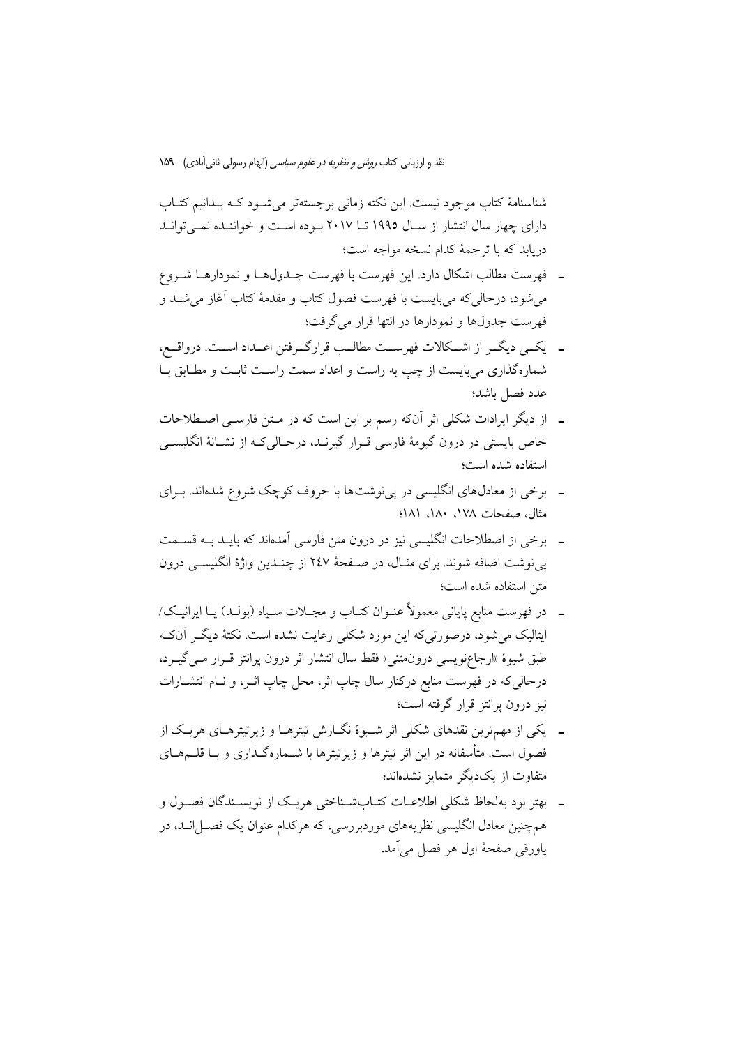شناسنامهٔ کتاب موجود نیست. این نکته زمانی برجستهتر می شـود کـه بـدانیم کتـاب دارای چهار سال انتشار از سـال ۱۹۹۵ تــا ۲۰۱۷ بـوده اسـت و خواننـده نمـی توانـد دريابد كه با ترجمهٔ كدام نسخه مواجه است؛

- ــ فهرست مطالب اشكال دارد. اين فهرست با فهرست جـدولهـا و نمودارهـا شـروع می شود، درحالی که می بایست با فهرست فصول کتاب و مقدمهٔ کتاب آغاز می شــد و فهرست جدولها و نمودارها در انتها قرار می گرفت؛
- ـ يكمى ديگـر از اشـكالات فهرسـت مطالـب قرارگـرفتن اعـداد اسـت. درواقــع، شمارهگذاری میبایست از چپ به راست و اعداد سمت راست ثابت و مطـابق بـا عدد فصل باشد؛
- ۔ از دیگر ایرادات شکلی اثر آنکه رسم بر این است که در مـتن فارسـی اصـطلاحات خاص بایستی در درون گیومهٔ فارسی قـرار گیرنـد، درحـالیکـه از نشـانهٔ انگلیســی استفاده شده است؛
- ـ برخی از معادلهای انگلیسی در پی نوشتها با حروف کوچک شروع شدهاند. بـرای مثال، صفحات ١٧٨، ١٨٠، ١٨١؛
- ۔ برخی از اصطلاحات انگلیسی نیز در درون متن فارسی اَمدهاند که بایــد بــه قســمت پی نوشت اضافه شوند. برای مثـال، در صـفحهٔ ۲٤۷ از چنـدین واژهٔ انگلیسـی درون متن استفاده شده است؛
- ـــ در فهرست منابع پایانی معمولاً عنــوان کتــاب و مجــلات ســیاه (بولــد) یــا ایرانیــک/ ایتالیک میشود، درصورتیکه این مورد شکلی رعایت نشده است. نکتهٔ دیگـر آنکـه طبق شيوهٔ «ارجاعٖنويسي درونِمتني» فقط سال انتشار اثر درون يرانتز قــرار مــي گيــرد، درحالی که در فهرست منابع درکنار سال چاپ اثر، محل چاپ اثــر، و نــام انتشــارات نیز درون پرانتز قرار گرفته است؛
- ۔ یکی از مهمترین نقدهای شکلی اثر شیوهٔ نگـارش تیترهـا و زیرتیترهـای هریـک از فصول است. متأسفانه در این اثر تیترها و زیرتیترها با شــمارهگـذاری و بــا قلــمهــای متفاوت از یکدیگر متمایز نشدهاند؛
- ۔ بهتر بود بهلحاظ شکلی اطلاعـات کتـابشـناختی هریـک از نویسـندگان فصـول و همچنین معادل انگلیسی نظریههای موردبررسی، که هرکدام عنوان یک فصـل|نــد، در ياورقي صفحهٔ اول هر فصل مي آمد.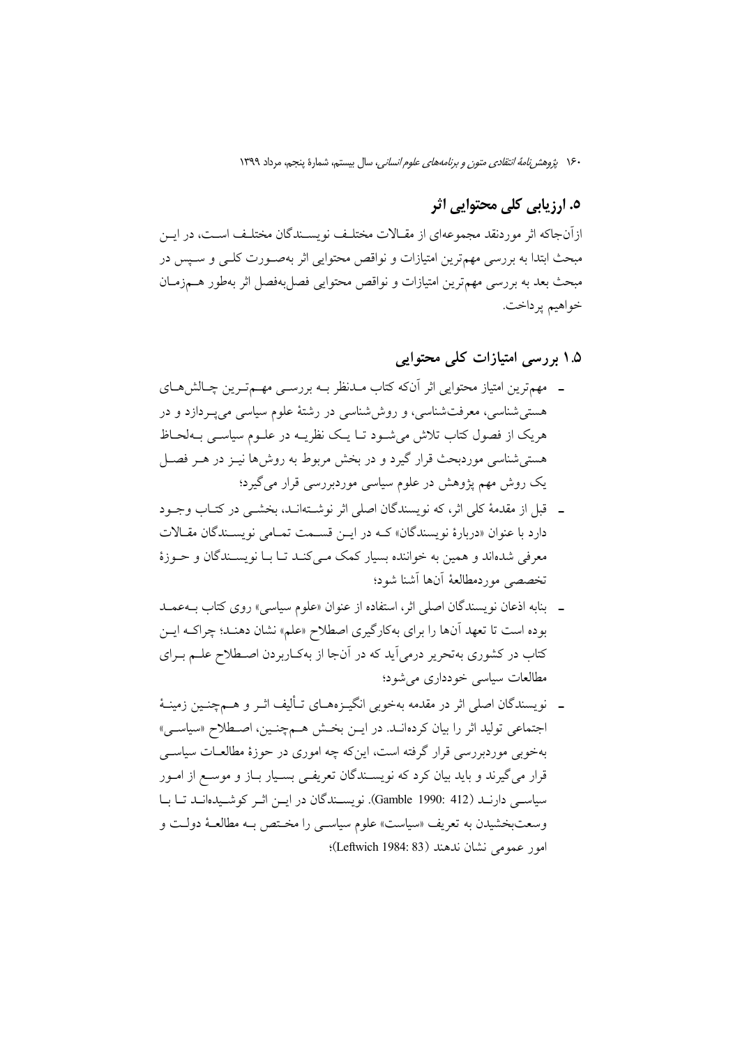۱۶۰ پژو*هش نامهٔ انتقادی متون و برنامههای علوم انسانی،* سال بیستم، شمارهٔ پنجم، مرداد ۱۳۹۹

# ٥. ارزيابي کلي محتوايي اثر

ازأنجاكه اثر موردنقد مجموعهاي از مقـالات مختلـف نويســندگان مختلـف اســت، در ايــن مبحث ابتدا به بررسی مهمترین امتیازات و نواقص محتوایی اثر بهصـورت کلـی و سـپس در مبحث بعد به بررسی مهمترین امتیازات و نواقص محتوایی فصل بهفصل اثر بهطور هــمزمــان خواهيم پرداخت.

۱.۵ بررسی امتیازات کلی محتوایی

- ۔ مهمترین امتیاز محتوایی اثر آنکه کتاب مـدنظر بــه بررســی مهــمتـرین چـالش۱صای هستی شناسی، معرفتشناسی، و روش شناسی در رشتهٔ علوم سیاسی می پـردازد و در هریک از فصول کتاب تلاش می شـود تـا یـک نظریــه در علــوم سیاســی بــهلحــاظ هستی شناسی موردبحث قرار گیرد و در بخش مربوط به روش۵ا نیـز در هـر فصـل یک روش مهم پژوهش در علوم سیاسی موردبررسی قرار می گیرد؛
- ـــ قبل از مقدمهٔ کلی اثر، که نویسندگان اصلی اثر نوشــتهانــد، بخشــی در کتــاب وجــود دارد با عنوان «دربارهٔ نویسندگان» کـه در ایـن قسـمت تمـامی نویسـندگان مقـالات معرفی شدهاند و همین به خواننده بسیار کمک مـیکنـد تـا بـا نویسـندگان و حـوزهٔ تخصصے موردمطالعهٔ آنها آشنا شود؛
- ـ بنابه اذعان نویسندگان اصلی اثر، استفاده از عنوان «علوم سیاسی» روی کتاب بــهعمــد بوده است تا تعهد آنها را براي بهكارگيري اصطلاح «علم» نشان دهنـد؛ چراكــه ايــن کتاب در کشوری بهتحریر درمی آید که در آنجا از بهکاربردن اصطلاح علـم بـرای مطالعات سياسي خو دداري مي شود؛
- ـــ نویسندگان اصلی اثر در مقدمه بهخوبی انگیــزههــای تــألیف اثــر و هــمچنــین زمینــهٔ اجتماعی تولید اثر را بیان کردهانـد. در ایـن بخـش هـمچنـین، اصـطلاح «سیاسـی» بهخوبی موردبررسی قرار گرفته است، اینکه چه اموری در حوزهٔ مطالعــات سیاســی قرار می گیرند و باید بیان کرد که نویسـندگان تعریفـی بسـیار بـاز و موسـع از امــور سیاسـی دارنـد (412 :Gamble) i990 نویسـندگان در ایـن اثـر کوشـیدهانـد تـا بـا وسعت بخشيدن به تعريف «سياست» علوم سياسـي را مخـتص بـه مطالعـهٔ دولـت و امور عمومي نشان ندهند (Leftwich 1984: 83)؛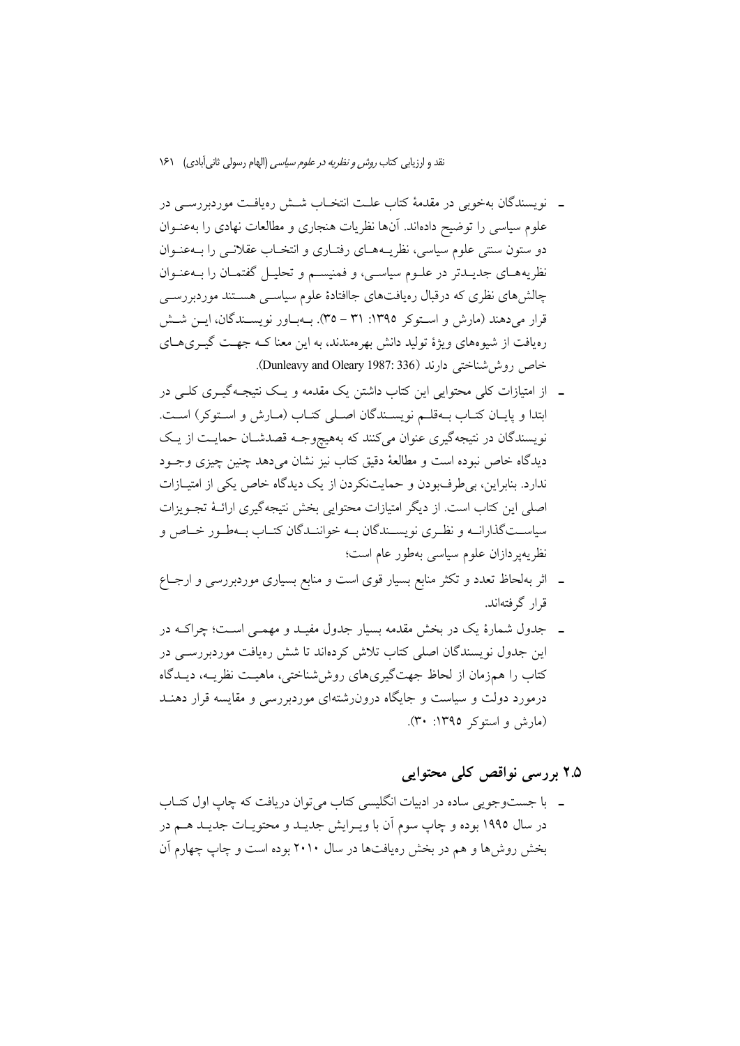- ــ نویسندگان بهخوبی در مقدمهٔ کتاب علـت انتخـاب شــش رهیافـت موردبررســی در علوم سیاسی را توضیح دادهاند. آنها نظریات هنجاری و مطالعات نهادی را بهعنـوان دو ستون سنتی علوم سیاسی، نظریـههـای رفتـاری و انتخـاب عقلانـی را بـهعنـوان نظریههـای جدیـدتر در علــوم سیاســی، و فمنیســم و تحلیــل گفتمــان را بــهعنــوان چالش های نظری که درقبال رەپافت،ای جاافتادهٔ علوم سیاســی هســتند موردېررســی قرار می دهند (مارش و استوکر ١٣٩٥: ٣١ – ٣٥). بـهبـاور نويســندگان، ايــن شــش رهیافت از شیوههای ویژهٔ تولید دانش بهرهمندند، به این معنا کـه جهـت گیــریهــای خاص روش شناختی دارند (Dunleavy and Oleary 1987: 336).
- ۔ از امتیازات کلی محتوابی این کتاب داشتن یک مقدمه و یک نتیجیهگیری کلیے در ابتدا و پایان کتـاب بـهقلـم نویسـندگان اصـلی کتـاب (مـارش و اسـتوکر) اسـت. نویسندگان در نتیجهگیری عنوان میکنند که بههیچوجـه قصدشـان حمایـت از یـک دیدگاه خاص نبوده است و مطالعهٔ دقیق کتاب نیز نشان میدهد چنین چیزی وجـود ندارد. بنابراین، بی طرفبودن و حمایتنکردن از یک دیدگاه خاص یکی از امتیــازات اصلی این کتاب است. از دیگر امتیازات محتوایی بخش نتیجهگیری ارائـهٔ تجـویزات سیاسـتگذارانــه و نظـري نويســندگان بــه خواننــدگان كتــاب بــهطـور خــاص و نظريهپردازان علوم سياسي بهطور عام است؛
- ـ اثر بهلحاظ تعدد و تکثر منابع بسیار قوی است و منابع بسیاری موردبررسی و ارجــاع قرار گرفتهاند.
- ۔ جدول شمارۂ یک در بخش مقدمه بسیار جدول مفیـد و مهمـی اسـت؛ چراکــه در این جدول نویسندگان اصلی کتاب تلاش کردهاند تا شش رهیافت موردبررسبی در کتاب را همزمان از لحاظ جهتگیریهای روششناختی، ماهیـت نظریــه، دیــدگاه درمورد دولت و سیاست و جایگاه درون(شتهای موردبررسی و مقایسه قرار دهنـد (مارش و استوکر ١٣٩٥: ٣٠).

# 7.۵ پر رسی نواقص کلی محتوابی

۔ با جستوجویی سادہ در ادبیات انگلیسی کتاب می توان دریافت که چاپ اول کتـاب در سال ۱۹۹۵ بوده و چاپ سوم اَن با ویـرایش جدیـد و محتویــات جدیــد هــم در بخش روش ها و هم در بخش رویافتها در سال ۲۰۱۰ بوده است و چاپ چهارم آن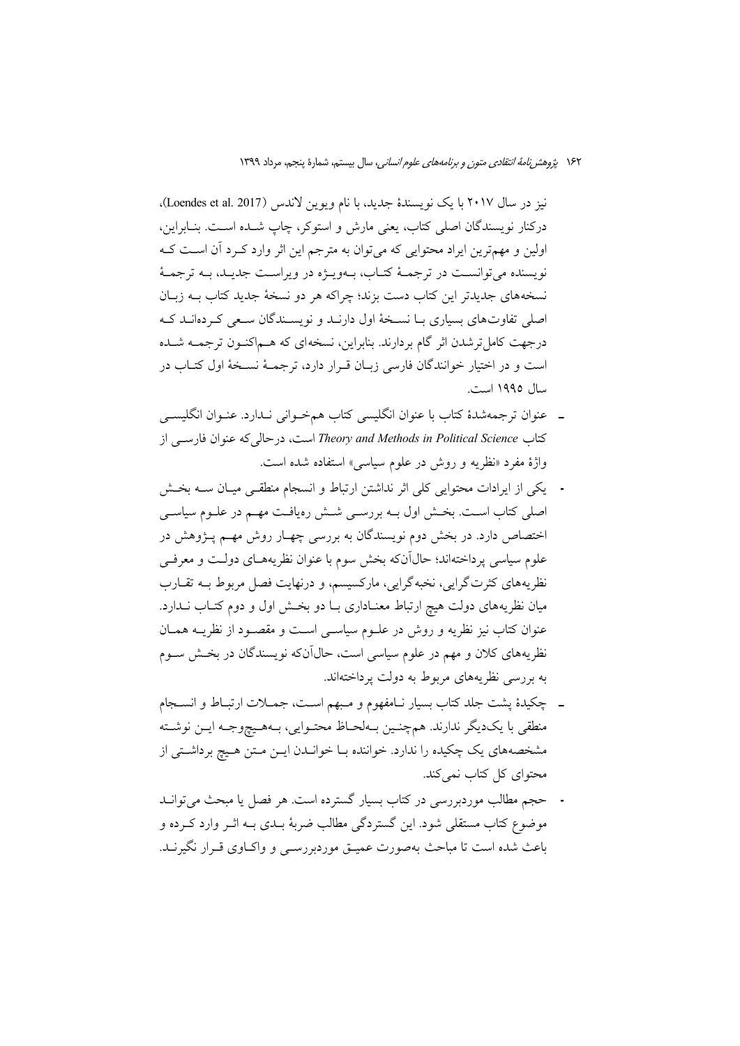نيز در سال ٢٠١٧ با يک نويسندهٔ جديد، با نام ويوين لاندس (Loendes et al. 2017). دركنار نويسندگان اصلي كتاب، يعني مارش و استوكر، چاپ شـده اسـت. بنـابراين، اولین و مهم ترین ایراد محتوایی که می توان به مترجم این اثر وارد کـرد آن اسـت کـه نويسنده مي توانسـت در ترجمـهٔ كتـاب، بــهويــژه در ويراسـت جديــد، بــه ترجمــهٔ نسخههای جدیدتر این کتاب دست بزند؛ چراکه هر دو نسخهٔ جدید کتاب بـه زبـان اصلی تفاوتهای بسیاری بـا نسـخهٔ اول دارنـد و نویسـندگان سـعی کـردهانـد کـه درجهت كامل ترشدن اثر گام بردارند. بنابراین، نسخهای كه هـماكنـون ترجمـه شـده است و در اختیار خوانندگان فارسی زبـان قــرار دارد، ترجمــهٔ نســخهٔ اول کتــاب در سال ۱۹۹۵ است.

- ـ عنوان ترجمهشدهٔ کتاب با عنوان انگلیسی کتاب همخوانی نـدارد. عنـوان انگلیســی كتاب Theory and Methods in Political Science است، درحالي كه عنوان فارسبي از واژهٔ مفرد «نظریه و روش در علوم سیاسی» استفاده شده است.
- يكي از ايرادات محتوايي كلي اثر نداشتن ارتباط و انسجام منطقـي ميـان ســه بخــش اصلی کتاب اسـت. بخــش اول بــه بررســی شــش رهیافـت مهــم در علــوم سیاســی اختصاص دارد. در بخش دوم نویسندگان به بررسی چهـار روش مهـم پـژوهش در علوم سیاسی پرداختهاند؛ حالآنکه بخش سوم با عنوان نظریههـای دولـت و معرفـی نظریههای کثرتگرایی، نخبهگرایی، مارکسیسم، و درنهایت فصل مربوط بـه تقــارب میان نظریههای دولت هیچ ارتباط معنـاداری بـا دو بخـش اول و دوم کتـاب نــدارد. عنوان کتاب نیز نظریه و روش در علــوم سیاســی اســت و مقصــود از نظریــه همــان نظریههای کلان و مهم در علوم سیاسی است، حال1آنکه نویسندگان در بخـش ســوم به بررسی نظریههای مربوط به دولت پرداختهاند.
- ـ چکیدهٔ پشت جلد کتاب بسیار نـامفهوم و مـبهم اسـت، جمــلات ارتبــاط و انســجام منطقى با يكديگر ندارند. همچنـين بـهلحـاظ محتـوايي، بـههـيچوجـه ايـن نوشـته مشخصههای یک چکیده را ندارد. خواننده بـا خوانـدن ایــن مـتن هـیچ برداشـتی از محتوای کل کتاب نمی کند.
- حجم مطالب موردبررسی در کتاب بسیار گسترده است. هر فصل یا مبحث میتوانــد موضوع کتاب مستقلی شود. این گستردگی مطالب ضربهٔ بــدی بــه اثــر وارد کــرده و باعث شده است تا مباحث بهصورت عمیــق موردبررســی و واکــاوی قــرار نگیرنــد.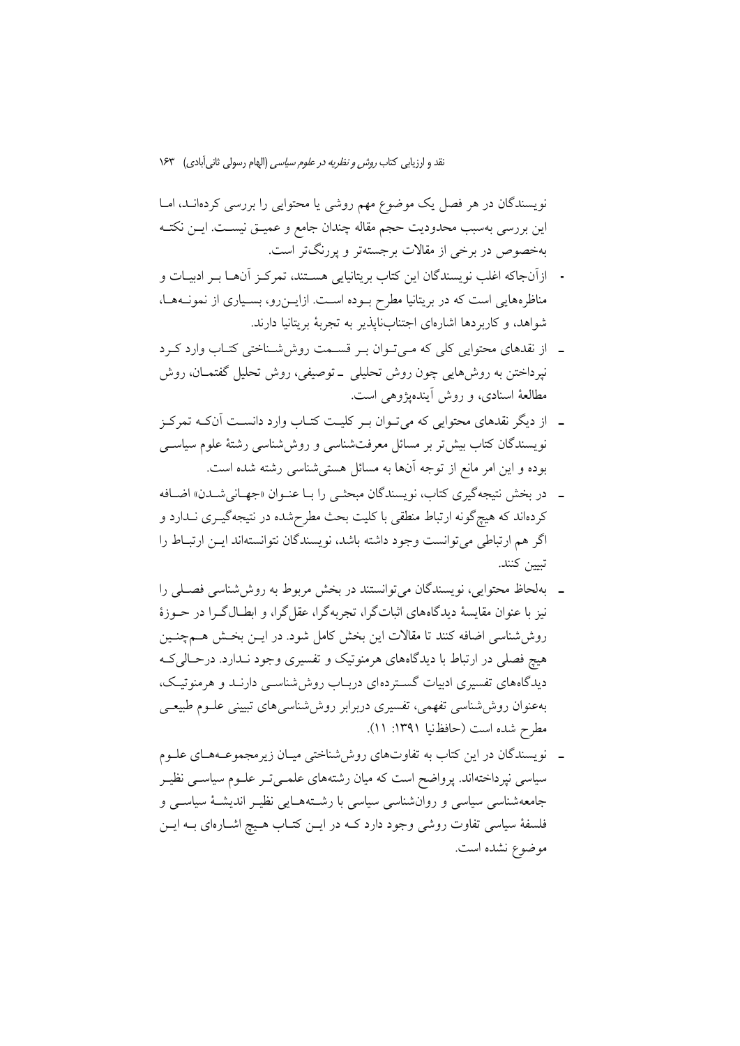نویسندگان در هر فصل یک موضوع مهم روشی یا محتوایی را بررسی کردهانـد، امـا این بررسی بهسبب محدودیت حجم مقاله چندان جامع و عمیــق نیســت. ایــن نکتــه بهخصوص در برخی از مقالات برجستهتر و پررنگتر است.

- ازآنجاكه اغلب نويسندگان اين كتاب بريتانيايي هسـتند، تمركـز آنهــا بــر ادبيــات و مناظرههایی است که در بریتانیا مطرح بوده است. ازایـنرو، بسـیاری از نمونـههـا، شواهد، و كاربردها اشارهاي اجتنابنايذير به تجربهٔ بريتانيا دارند.
- ـ از نقدهای محتوایی کلی که مـیتوان بـر قسـمت روششسناختی کتـاب وارد کـرد نپرداختن به روشهایی چون روش تحلیلی \_توصیفی، روش تحلیل گفتمـان، روش مطالعهٔ اسنادی، و روش آیندهیژوهی است.
- ۔ از دیگر نقدهای محتوایی که می تـوان بـر کلیـت کتـاب وارد دانسـت آنکـه تمرکـز نویسندگان کتاب بیش تر بر مسائل معرفتشناسی و روش شناسی رشتهٔ علوم سیاسبی بوده و این امر مانع از توجه آنها به مسائل هستی شناسی رشته شده است.
- ـ در بخش نتيجهگيري كتاب، نويسندگان مبحثـي را بـا عنـوان «جهـانيشـدن» اضـافه کردهاند که هیچگونه ارتباط منطقی با کلیت بحث مطرحشده در نتیجهگیـری نــدارد و اگر هم ارتباطي مي توانست وجود داشته باشد، نويسندگان نتوانستهاند ايـن ارتبـاط را تبيين كنند.
- ــ بهلحاظ محتوایی، نویسندگان میتوانستند در بخش مربوط به روششناسی فصـلی را نیز با عنوان مقایسهٔ دیدگاههای اثباتگرا، تجربهگرا، عقل گرا، و ابطـالگـرا در حــوزهٔ روش شناسی اضافه کنند تا مقالات این بخش کامل شود. در ایــن بخــش هــم=نــین هیچ فصلی در ارتباط با دیدگاههای هرمنوتیک و تفسیری وجود نـدارد. درحـالی کـه دیدگاههای تفسیری ادبیات گستردهای دربـاب روش۵نناسـی دارنــد و هرمنوتیـک، بهعنوان روش،شناسی تفهمی، تفسیری دربرابر روش،شناسی های تبیینی علـوم طبیعـی مطرح شده است (حافظنيا ١٣٩١: ١١).
- \_ نویسندگان در این کتاب به تفاوتهای روش شناختی میـان زیرمجموعـههـای علـوم سیاسی نیرداختهاند. پرواضح است که میان رشتههای علمــیتــر علــوم سیاســی نظیــر جامعهشناسی سیاسی و روانشناسی سیاسی با رشتههـایی نظیـر اندیشـهٔ سیاســی و فلسفهٔ سیاسی تفاوت روشی وجود دارد کـه در ایــن کتــاب هــیچ اشــارهای بــه ایــن موضوع نشده است.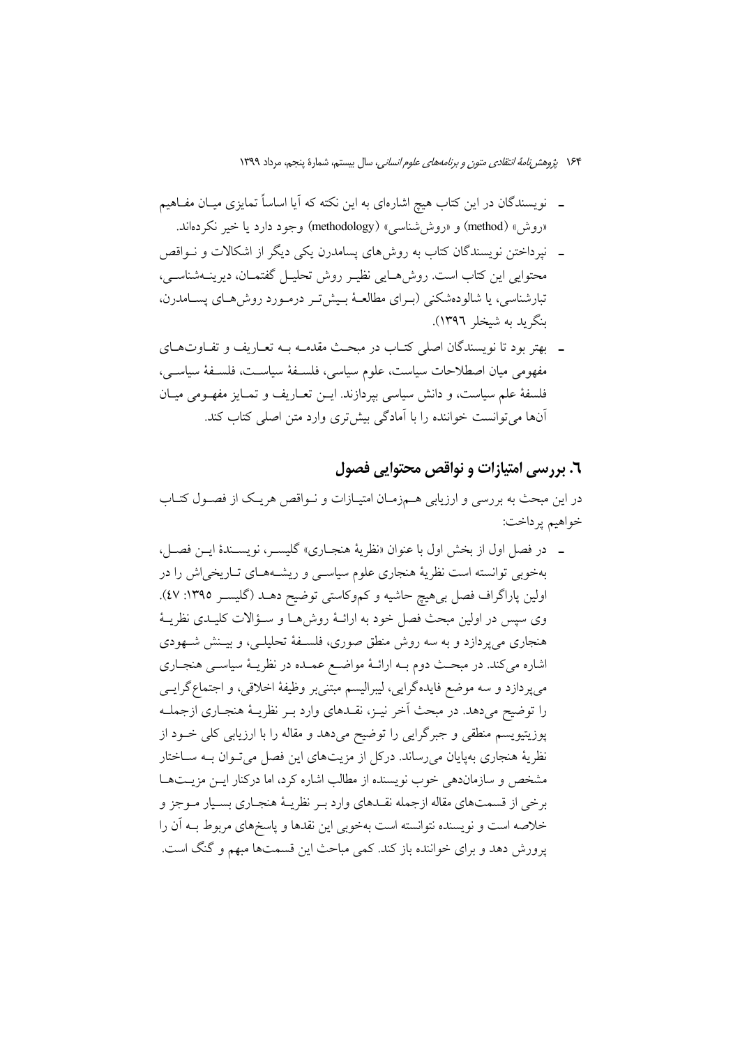۱۶۴ پ*ژوهش نامهٔ انتقادی متون و برنامههای علوم انسانی،* سال بیستم، شمارهٔ پنجم، مرداد ۱۳۹۹

- ـــ نویسندگان در این کتاب هیچ اشارهای به این نکته که آیا اساساً تمایزی میــان مفــاهیم «روش» (method) و «روش شناسی» (methodology) وجود دارد یا خیر نکردهاند.
- ـــ نیرداختن نویسندگان کتاب به روش های پسامدرن یکی دیگر از اشکالات و نــواقص محتوایی این کتاب است. روش هـایی نظیـر روش تحلیـل گفتمـان، دیرینــهشناســی، تبارشناسی، یا شالودهشکنی (بـرای مطالعـهٔ بـیش5نر درمـورد روش،هـای پسـامدرن. بنگرید به شیخلر ۱۳۹۶).
- ـ بهتر بود تا نویسندگان اصلی کتـاب در مبحـث مقدمـه بــه تعـاریف و تفــاوتهــای مفهومي ميان اصطلاحات سياست، علوم سياسي، فلسـفهٔ سياسـت، فلسـفهٔ سياسـي، فلسفهٔ علم سیاست، و دانش سیاسی بیردازند. ایــن تعــاریف و تمــایز مفهــومی میــان آنها می توانست خواننده را با آمادگی بیش تری وارد متن اصلی کتاب کند.

### ٦. بررسي امتيازات و نواقص محتوايي فصول

در این مبحث به بررسی و ارزیابی هــمزمـان امتیــازات و نــواقص هریــک از فصــول کتــاب خواهيم پرداخت:

ـ در فصل اول از بخش اول با عنوان «نظريهٔ هنجـاري» گليسـر، نويسـندهٔ ايــز فصــل، بهخوبی توانسته است نظریهٔ هنجاری علوم سیاسـی و ریشـههـای تـاریخی|ش را در اولین پاراگراف فصل بیهیچ حاشیه و کموکاستی توضیح دهــد (گلیســر ۱۳۹۵: ٤٧). وي سيس در اولين مبحث فصل خود به ارائــهٔ روش۵هــا و ســؤالات كليــدي نظريــهٔ هنجاری میپردازد و به سه روش منطق صوری، فلسـفهٔ تحلیلـی، و بیـنش شـهودی اشاره میکند. در مبحث دوم بـه ارائـهٔ مواضـع عمـده در نظریـهٔ سیاسـی هنجـاری میپردازد و سه موضع فایدهگرایی، لیبرالیسم مبتنیبر وظیفهٔ اخلاقی، و اجتماع گرایسی را توضیح میدهد. در مبحث اَخر نیـز، نقـدهای وارد بـر نظریـهٔ هنجـاری ازجملـه پوزیتیویسم منطقی و جبرگرایی را توضیح میدهد و مقاله را با ارزیابی کلی خـود از نظریهٔ هنجاری بهپایان میرساند. درکل از مزیتهای این فصل میتوان بـه سـاختار مشخص و سازماندهی خوب نویسنده از مطالب اشاره کرد، اما درکنار ایــن مزیــتهــا برخي از قسمتهاي مقاله ازجمله نقـدهاي وارد بـر نظريــهٔ هنجـاري بسـيار مــوجز و خلاصه است و نویسنده نتوانسته است بهخوبی این نقدها و پاسخهای مربوط بـه آن را یرورش دهد و برای خواننده باز کند. کمی مباحث این قسمتها مبهم و گنگ است.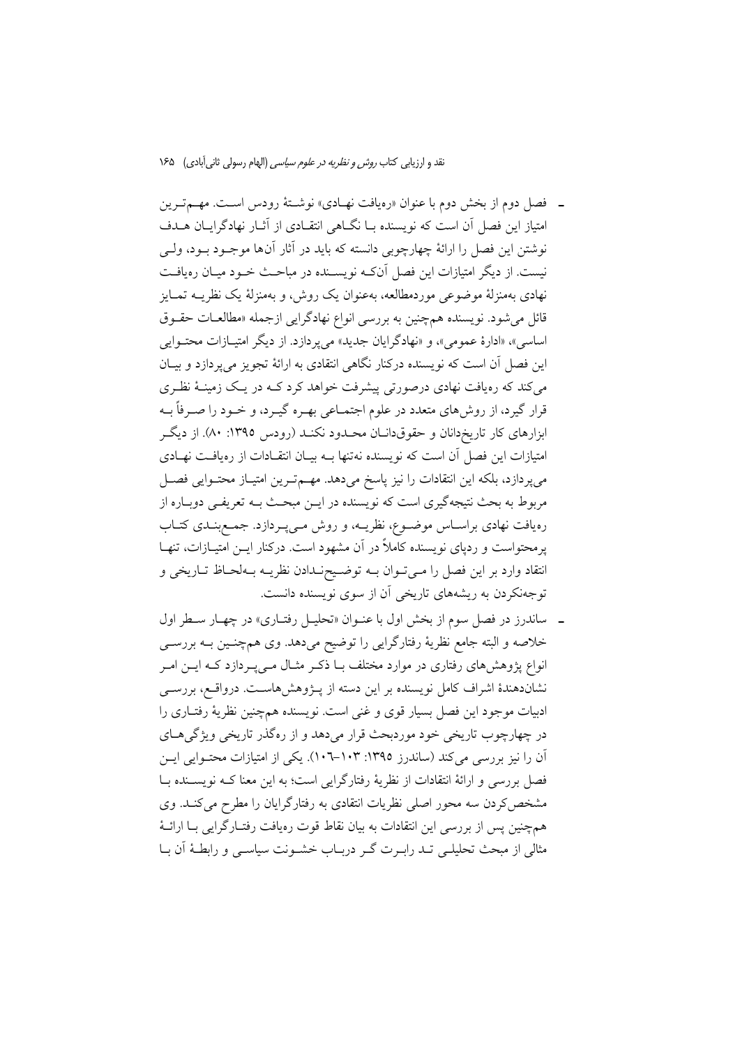- ـ فصل دوم از بخش دوم با عنوان «رەيافت نهـادى» نوشـتۀ رودس اسـت. مهـم تـرين امتیاز این فصل آن است که نویسنده بـا نگــاهی انتقــادی از آثــار نهادگرایــان هــدف نوشتن این فصل را ارائهٔ چهارچوبی دانسته که باید در آثار آنها موجـود بـود، ولـی نیست. از دیگر امتیازات این فصل آنکه نویســنده در مباحـث خــود میــان رهیافــت نهادي بهمنزلهٔ موضوعي موردمطالعه، بهعنوان يک روش، و بهمنزلهٔ يک نظريــه تمــايز قائل می شود. نویسنده همچنین به بررسی انواع نهادگرایی ازجمله «مطالعـات حقـوق اساسی»، «ادارهٔ عمومی»، و «نهادگرایان جدید» میپردازد. از دیگر امتیـازات محتـوایی این فصل آن است که نویسنده درکنار نگاهی انتقادی به ارائهٔ تجویز می پردازد و بیـان میکند که رهیافت نهادی درصورتی پیشرفت خواهد کرد کـه در یـک زمینـهٔ نظـری قرار گیرد، از روش،ای متعدد در علوم اجتمـاعی بهـره گیـرد، و خــود را صــرفاً بــه ابزارهای کار تاریخدانان و حقوقدانــان محــدود نکنــد (رودس ١٣٩٥: ٨٠). از دیگــر امتیازات این فصل آن است که نویسنده نهتنها بـه بیـان انتقـادات از رهیافـت نهـادی میپردازد، بلکه این انتقادات را نیز پاسخ میدهد. مهممترین امتیاز محتوایی فصل مربوط به بحث نتیجهگیری است که نویسنده در ایــن مبحـث بــه تعریفــی دوبــاره از رهیافت نهادی براسـاس موضـوع، نظریــه، و روش مـیپـردازد. جمـعبنــدی کتــاب پرمحتواست و ردپای نویسنده کاملاً در آن مشهود است. درکنار ایــن امتیــازات، تنهــا انتقاد وارد بر این فصل را میتوان به توضیح ندادن نظریـه بـهلحـاظ تـاریخی و توجهنکردن به ریشههای تاریخی آن از سوی نویسنده دانست.
- ـ ساندرز در فصل سوم از بخش اول با عنـوان «تحليـل رفتـاري» در چهـار سـطر اول خلاصه و البته جامع نظریهٔ رفتارگرایی را توضیح میدهد. وی همچنـین بــه بررســی انواع پژوهشهای رفتاری در موارد مختلف بـا ذکـر مثـال مـیپـردازد کـه ایــن امـر نشاندهندهٔ اشراف کامل نویسنده بر این دسته از پـژوهشهاسـت. درواقـع، بررسـی ادبیات موجود این فصل بسیار قوی و غنی است. نویسنده همچنین نظریهٔ رفتـاری را در چهارچوب تاریخی خود موردبحث قرار میدهد و از رهگذر تاریخی ویژگیهای آن را نیز بررسی میکند (ساندرز ۱۳۹۵: ۱۰۳–۱۰۲). یکی از امتیازات محتـوایی ایــن فصل بررسی و ارائهٔ انتقادات از نظریهٔ رفتارگرایی است؛ به این معنا کــه نویســنده بــا مشخص کردن سه محور اصلی نظریات انتقادی به رفتارگرایان را مطرح می کنــد. وی همچنین پس از بررسی این انتقادات به بیان نقاط قوت رهیافت رفتـارگرایی بـا ارائــهٔ مثالی از مبحث تحلیلـی تــد رابــرت گــر دربــاب خشــونت سیاســی و رابطـهٔ آن بــا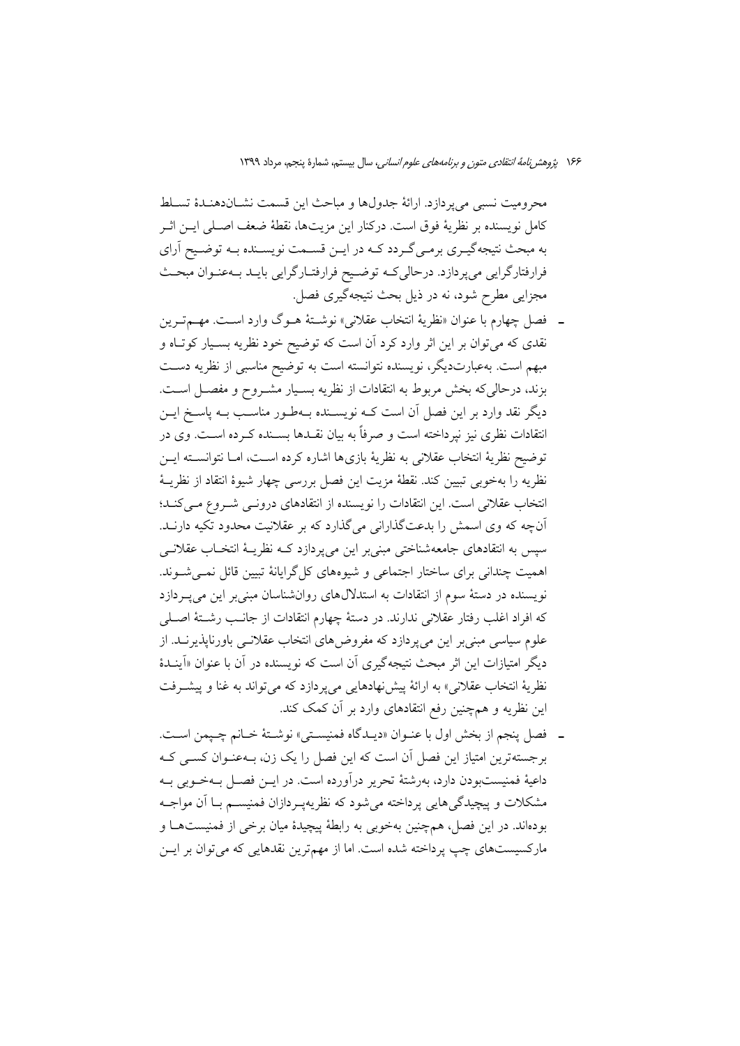محرومیت نسبی می یردازد. ارائهٔ جدولها و مباحث این قسمت نشـاندهنـدهٔ تسـلط كامل نويسنده بر نظريهٔ فوق است. دركنار اين مزيتها، نقطهٔ ضعف اصـلي ايــن اثــر به مبحث نتیجهگیـري برمـيگـردد كـه در ايـن قسـمت نويسـنده بـه توضـيح اَراي فرارفتارگرایی میپردازد. درحالی کـه توضـیح فرارفتـارگرایی بایـد بـهعنـوان مبحـث مجزایی مطرح شود، نه در ذیل بحث نتیجهگیری فصل.

- ـ فصل چهارم با عنوان «نظريهٔ انتخاب عقلاني» نوشـتهٔ هــوگ وارد اسـت. مهــمتــرين نقدی که میتوان بر این اثر وارد کرد آن است که توضیح خود نظریه بسـیار کوتـاه و مبهم است. بهعبارتدیگر، نویسنده نتوانسته است به توضیح مناسبی از نظریه دسـت بزند، درحالی که بخش مربوط به انتقادات از نظریه بسـیار مشـروح و مفصـل اسـت. دیگر نقد وارد بر این فصل آن است کـه نویســنده بــهطـور مناسـب بــه پاسـخ ایــن انتقادات نظری نیز نپرداخته است و صرفاً به بیان نقـدها بســنده کــرده اســت. وی در توضيح نظرية انتخاب عقلاني به نظرية بازي ها اشاره كرده است، امــا نتوانســته ايــن نظريه را بهخوبي تبيين كند. نقطهٔ مزيت اين فصل بررسي چهار شيوهٔ انتقاد از نظريــهٔ انتخاب عقلانی است. این انتقادات را نویسنده از انتقادهای درونمی شـروع مـیکنـد؛ آنچه که وی اسمش را بدعتگذارانی میگذارد که بر عقلانیت محدود تکیه دارنــد. سیس به انتقادهای جامعهشناختی مبنی بر این می پردازد کــه نظریــهٔ انتخــاب عقلانــی اهمیت چندانی برای ساختار اجتماعی و شیوههای کل گرایانهٔ تبیین قائل نمـیشـوند. نویسنده در دستهٔ سوم از انتقادات به استدلال های روانشناسان مبنی بر این می په دازد كه افراد اغلب رفتار عقلاني ندارند. در دستهٔ چهارم انتقادات از جانـب رشـتهٔ اصـلـي علوم سیاسی مبنی بر این می پردازد که مفروضهای انتخاب عقلانسی باورناپذیرنــد. از دیگر امتیازات این اثر مبحث نتیجهگیری آن است که نویسنده در آن با عنوان «اَینــدهٔ نظرية انتخاب عقلاني» به ارائة پيش نهادهايي مي پردازد كه مي تواند به غنا و پيشـرفت این نظریه و همچنین رفع انتقادهای وارد بر آن کمک کند.
- ـ فصل ينجم از بخش اول با عنـوان «ديـدگاه فمنيسـتي» نوشـتهٔ خـانم چـيمن اسـت. برجستهترین امتیاز این فصل آن است که این فصل را یک زن، بـهعنـوان کســی کــه داعیهٔ فمنیستبودن دارد، بهرشتهٔ تحریر درآورده است. در ایــن فصــل بــهخــوبی بــه مشکلات و پیچیدگی هایی پرداخته می شود که نظریهپردازان فمنیسـم بـا آن مواجـه بودهاند. در این فصل، همچنین بهخوبی به رابطهٔ پیچیدهٔ میان برخی از فمنیستهـا و مارکسیستهای چپ پرداخته شده است. اما از مهمترین نقدهایی که میتوان بر ایــن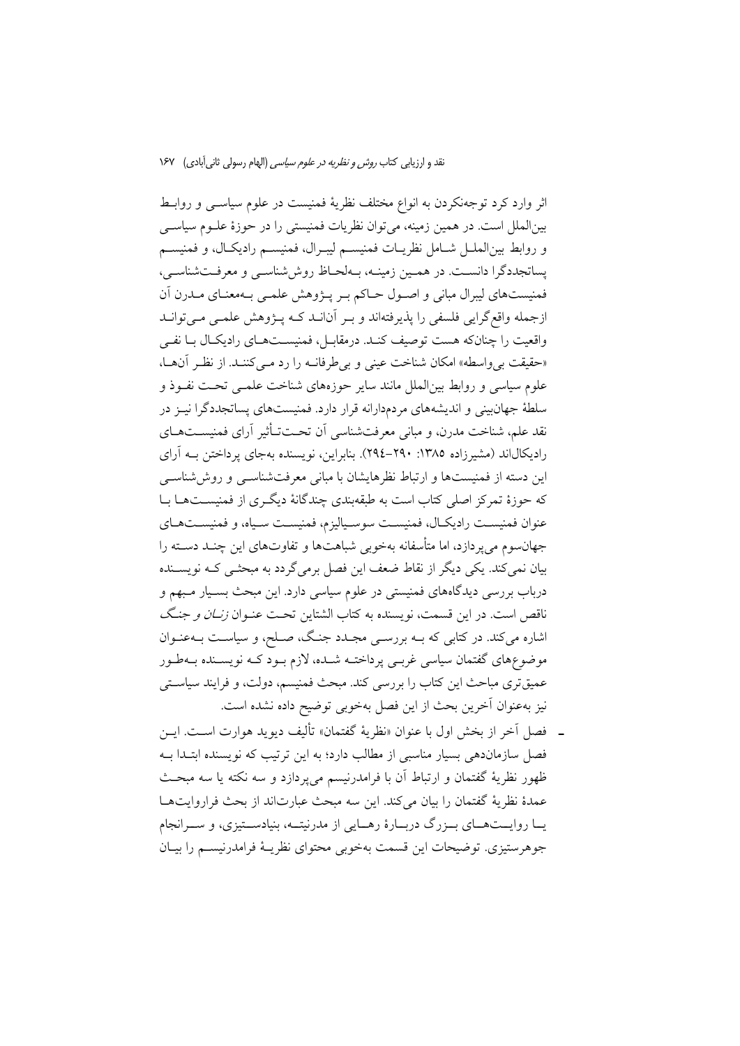اثر وارد کرد توجهنکردن به انواع مختلف نظریهٔ فمنیست در علوم سیاســی و روابــط بینالملل است. در همین زمینه، می توان نظریات فمنیستی را در حوزهٔ علـوم سیاسـی و روابط بين الملـل شـامل نظريـات فمنيسـم ليبـرال، فمنيسـم راديكـال، و فمنيسـم پساتجددگرا دانسـت. در همـین زمینـه، بـهلحـاظ روششناسـی و معرفـتشناسـی، فمنیستهای لیبرال مبانی و اصول حـاکم بـر پـژوهش علمـی بـهمعنـای مـدرن اَن ازجمله واقع گرایی فلسفی را پذیرفتهاند و بـر آنانــد کــه پــژوهش علمــی مــیتوانــد واقعیت را چنانکه هست توصیف کنـد. درمقابـل، فمنیسـتهـای رادیکـال بـا نفـی «حقيقت بي واسطه» امكان شناخت عيني و بي طرفانــه را رد مــي كننــد. از نظـر آن هــا، علوم سیاسی و روابط بین|لملل مانند سایر حوزههای شناخت علمـی تحـت نفـوذ و سلطهٔ جهانبینی و اندیشههای مردمدارانه قرار دارد. فمنیستهای پساتجددگرا نیـز در نقد علم، شناخت مدرن، و مبانی معرفتشناسی اَن تحـتتــأثیر اَرای فمنیســتهــای رادیکالاند (مشیرزاده ۱۳۸۵: ۲۹۰–۲۹٤). بنابراین، نویسنده بهجای پرداختن بـه آرای این دسته از فمنیستها و ارتباط نظرهایشان با مبانی معرفتشناسـی و روش شناسـی که حوزهٔ تمرکز اصلی کتاب است به طبقهبندی چندگانهٔ دیگـری از فمنیســتهــا بــا عنوان فمنيست راديكـال، فمنيسـت سوسـياليزم، فمنيسـت سـياه، و فمنيسـتهـاي جهان سوم می یر دازد، اما متأسفانه بهخوبی شباهتها و تفاوتهای این چنـد دســته را بیان نمیکند. یکی دیگر از نقاط ضعف این فصل برمیگردد به مبحثـی کـه نویســنده درباب بررسی دیدگاههای فمنیستی در علوم سیاسی دارد. این مبحث بسـیار مـبهم و ناقص است. در این قسمت، نویسنده به کتاب الشتاین تحت عنـوان *زنــان و جنـگ* اشاره میکند. در کتابی که بـه بررسـی مجـدد جنـگ، صـلح، و سیاسـت بـهعنـوان موضوعهای گفتمان سیاسی غربـی پرداختـه شــده، لازم بـود کـه نویســنده بـهطـور عمیقتری مباحث این کتاب را بررسی کند. مبحث فمنیسم، دولت، و فرایند سیاسـتی نيز بهعنوان آخرين بحث از اين فصل بهخوبي توضيح داده نشده است.

ـ فصل أخر از بخش اول با عنوان «نظريهٔ گفتمان» تأليف ديويد هوارت اسـت. ايــن فصل سازماندهی بسیار مناسبی از مطالب دارد؛ به این ترتیب که نویسنده ابتـدا بــه ظهور نظريهٔ گفتمان و ارتباط آن با فرامدرنيسم مي پردازد و سه نكته يا سه مبحث عمدهٔ نظریهٔ گفتمان را بیان میکند. این سه مبحث عبارتاند از بحث فراروایتها یــا روایــتهــای بــزرگ دربــارهٔ رهــایی از مدرنیتــه، بنیادســتیزی، و ســرانجام جوهرستيزي. توضيحات اين قسمت بهخوبي محتواي نظريـهٔ فرامدرنيسـم را بيـان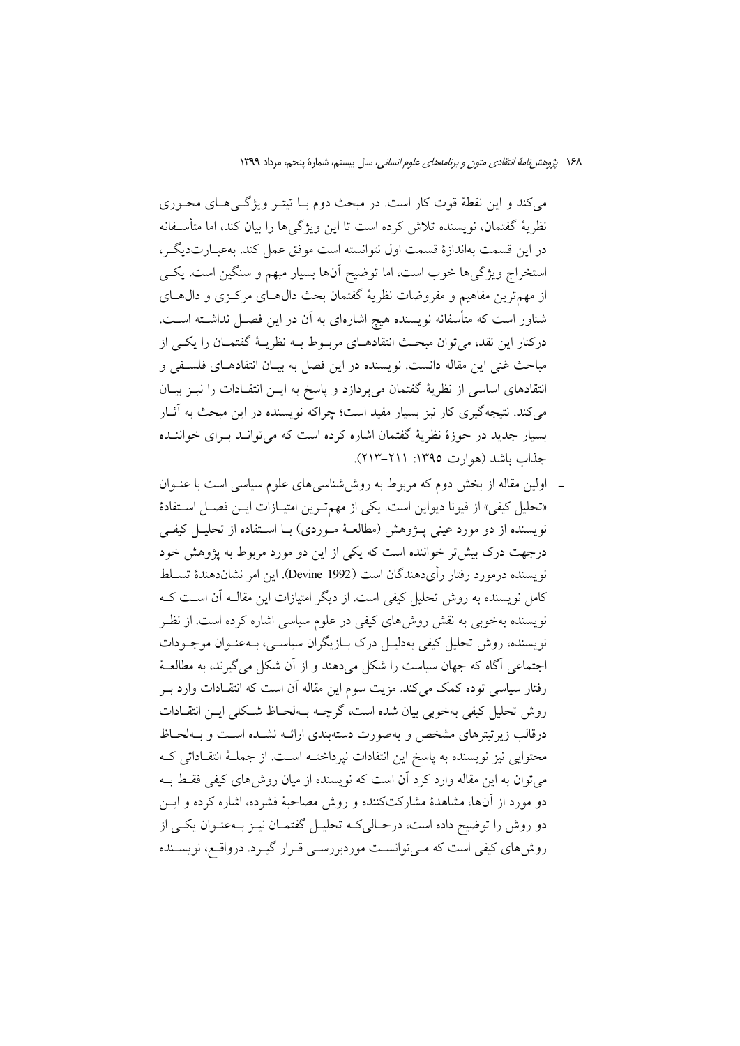میکند و این نقطهٔ قوت کار است. در مبحث دوم بــا تیتــر ویژگــیهــای محــوری نظريهٔ گفتمان، نويسنده تلاش كرده است تا اين ويژگىها را بيان كند، اما متأســفانه در اين قسمت بهاندازهٔ قسمت اول نتوانسته است موفق عمل كند. بهعبـارتديگـر، استخراج ویژگیها خوب است، اما توضیح آنها بسیار مبهم و سنگین است. یکی از مهمترین مفاهیم و مفروضات نظریهٔ گفتمان بحث دال۵حای مرکـزی و دال۵حای شناور است که متأسفانه نویسنده هیچ اشارهای به آن در این فصـل نداشــته اســت. درکنار این نقد، می توان مبحث انتقادهــای مربــوط بــه نظریــهٔ گفتمــان را یکــی از مباحث غني اين مقاله دانست. نويسنده در اين فصل به بيـان انتقادهـاي فلسـفي و انتقادهای اساسی از نظریهٔ گفتمان میپردازد و پاسخ به ایــن انتقــادات را نیــز بیــان میکند. نتیجهگیری کار نیز بسیار مفید است؛ چراکه نویسنده در این مبحث به آثــار بسیار جدید در حوزهٔ نظریهٔ گفتمان اشاره کرده است که می توانـد بـرای خواننـده حذاب باشد (هوارت ١٣٩٥: ٢١١-٢١٣).

ـ اولین مقاله از بخش دوم که مربوط به روششناسی های علوم سیاسی است با عنــوان «تحليل كيفي» از فيونا ديواين است. يكي از مهم تـرين امتيـازات ايـن فصـل اسـتفادة نویسنده از دو مورد عینی پــژوهش (مطالعـهٔ مــوردی) بــا اســتفاده از تحليــل كيفــی درجهت درک بیش تر خواننده است که یکی از این دو مورد مربوط به یژوهش خود نويسنده درمورد رفتار رأىدهندگان است (Devine 1992). اين امر نشاندهندهٔ تســلط کامل نویسنده به روش تحلیل کیفی است. از دیگر امتیازات این مقالــه آن اســت کــه نویسنده بهخوبی به نقش روش۵های کیفی در علوم سیاسی اشاره کرده است. از نظـر نویسنده، روش تحلیل کیفی بهدلیـل درک بـازیگران سیاسـی، بـهعنـوان موجـودات اجتماعی آگاه که جهان سیاست را شکل میدهند و از آن شکل می گیرند، به مطالعـهٔ رفتار سیاسی توده کمک می کند. مزیت سوم این مقاله آن است که انتقـادات وارد بــر روش تحلیل کیفی بهخوبی بیان شده است، گرچــه بــهلحـاظ شــکلی ایــن انتقــادات درقالب زیرتیترهای مشخص و بهصورت دستهبندی ارائـه نشـده اسـت و بـهلحـاظ محتوایی نیز نویسنده به پاسخ این انتقادات نپرداختـه اســت. از جملــهٔ انتقــاداتی کــه می توان به این مقاله وارد کرد آن است که نویسنده از میان روش۵های کیفی فقط بـه دو مورد از آنها، مشاهدهٔ مشارکتکننده و روش مصاحبهٔ فشرده، اشاره کرده و ایــن دو روش را توضیح داده است، درحـالیکـه تحلیـل گفتمـان نیـز بـهعنـوان یکـی از روش های کیفی است که مــی توانســت موردبررســی قــرار گیــرد. درواقــع، نویســنده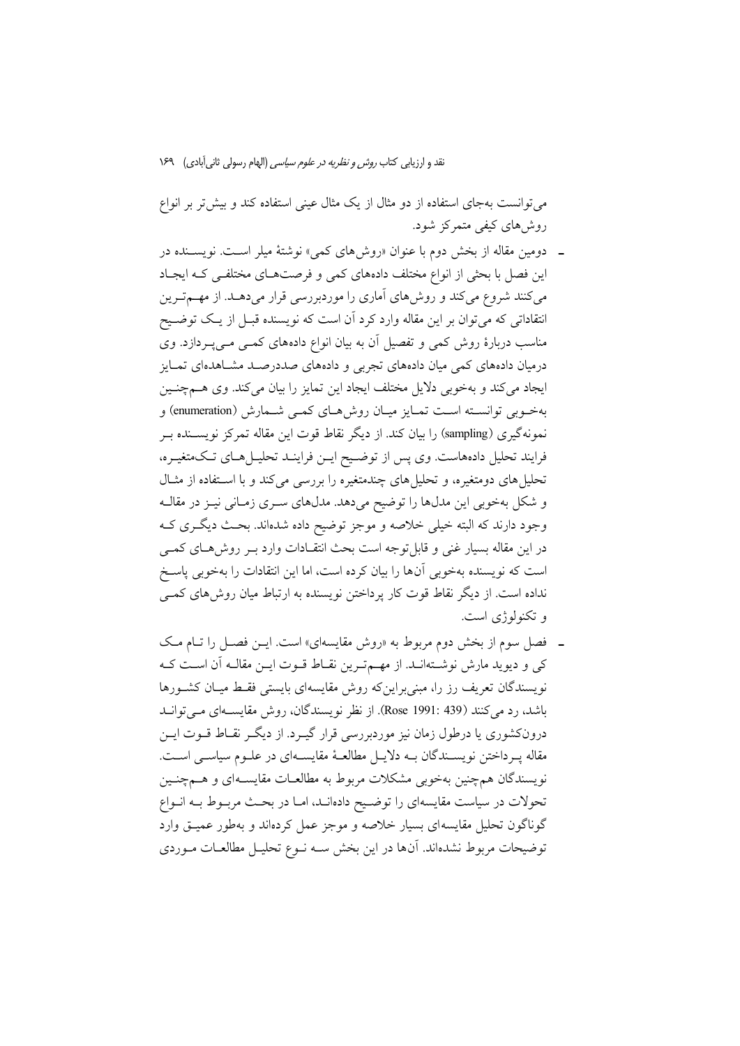می توانست بهجای استفاده از دو مثال از یک مثال عینی استفاده کند و بیش تر بر انواع روش های کیفی متمرکز شود.

- ـ دومین مقاله از بخش دوم با عنوان «روش های کمی» نوشتهٔ میلر اسـت. نویســنده در این فصل با بحثی از انواع مختلف دادههای کمی و فرصتهای مختلفی کـه ایجـاد میکنند شروع میکند و روشهای آماری را موردبررسی قرار میدهـد. از مهــمتـرین انتقاداتی که می توان بر این مقاله وارد کرد آن است که نویسنده قبـل از یـک توضـیح مناسب دربارهٔ روش کمی و تفصیل آن به بیان انواع دادههای کمـی مـیپـردازد. وی درمیان دادههای کمی میان دادههای تجربی و دادههای صددرصـد مشـاهدهای تمـایز ایجاد میکند و بهخوبی دلایل مختلف ایجاد این تمایز را بیان میکند. وی هـمچنـین بهخـوبي توانسـته اسـت تمـايز ميـان روش هـاي كمـي شـمارش (enumeration) و نمونهگیری (sampling) را بیان کند. از دیگر نقاط قوت این مقاله تمرکز نویســنده بــر فرایند تحلیل دادههاست. وی پس از توضیح ایـن فراینـد تحلیـلهـای تـکمتغیـره، تحلیل های دومتغیره، و تحلیل های چندمتغیره را بررسی میکند و با استفاده از مثـال و شکل بهخوبی این مدلها را توضیح میدهد. مدلهای سـری زمـانی نیـز در مقالـه وجود دارند که البته خیلی خلاصه و موجز توضیح داده شدهاند. بحث دیگری ک در این مقاله بسیار غنی و قابل توجه است بحث انتقـادات وارد بـر روش۵حای کمـی است که نویسنده بهخوبی آنها را بیان کرده است، اما این انتقادات را بهخوبی پاسخ نداده است. از دیگر نقاط قوت کار پرداختن نویسنده به ارتباط میان روش۵ای کمبی و تکنولوژی است.
- ـ فصل سوم از بخش دوم مربوط به «روش مقایسهای» است. ایـن فصـل را تـام مـک کی و دیوید مارش نوشـتهانـد. از مهـمترین نقـاط قـوت ایـن مقالـه اَن اسـت کـه نویسندگان تعریف رز را، مبنی براین که روش مقایسهای بایستی فقبط میبان کشورها باشد، رد می کنند (439 :1991 Rose). از نظر نویسندگان، روش مقایسـهای مـی توانــد درونکشوری یا درطول زمان نیز موردبررسی قرار گیـرد. از دیگـر نقـاط قــوت ایــن مقاله يـرداختن نويســندگان بــه دلايــل مطالعــهٔ مقايســهاي در علــوم سياســي اســت. نویسندگان همچنین بهخوبی مشکلات مربوط به مطالعـات مقایسـهای و هــمچنـین تحولات در سیاست مقایسهای را توضیح دادهانـد، امـا در بحـث مربـوط بـه انـواع گوناگون تحلیل مقایسهای بسیار خلاصه و موجز عمل کردهاند و بهطور عمیـق وارد توضیحات مربوط نشدهاند. آنها در این بخش سـه نـوع تحلیـل مطالعـات مـوردی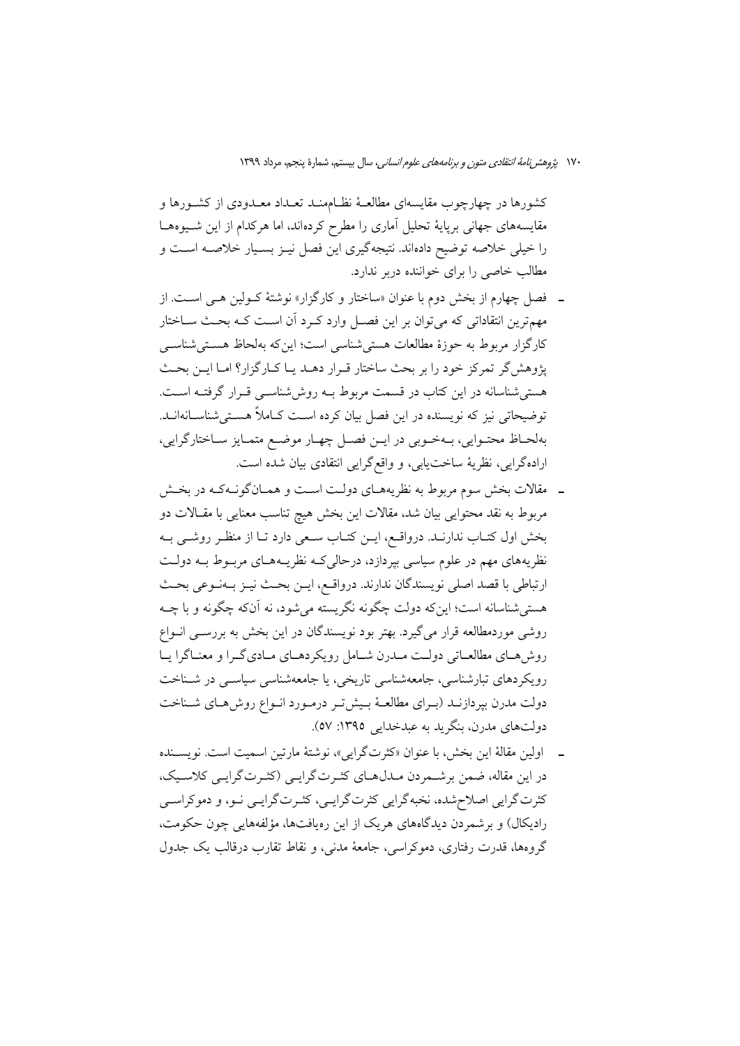کشورها در چهارچوب مقایسهای مطالعـهٔ نظـامهنـد تعـداد معـدودی از کشــورها و مقایسههای جهانی برپایهٔ تحلیل آماری را مطرح کردهاند، اما هرکدام از این شـیوههـا را خیلی خلاصه توضیح دادهاند. نتیجهگیری این فصل نیـز بسـیار خلاصـه اسـت و مطالب خاصی را برای خواننده دربر ندارد.

- ـ فصل چهارم از بخش دوم با عنوان «ساختار و کارگزار» نوشتهٔ کـولین هـی اسـت. از مهمترین انتقاداتی که میتوان بر این فصل وارد کرد آن است کـه بحـث سـاختار كارگزار مربوط به حوزهٔ مطالعات هستی شناسی است؛ این كه بهلحاظ هستی شناسبی پژوهش گر تمرکز خود را بر بحث ساختار قـرار دهـد يـا كـارگزار؟ امـا ايـن بحـث هستی شناسانه در این کتاب در قسمت مربوط بـه روش،شناســی قــرار گرفتــه اســت. توضیحاتی نیز که نویسنده در این فصل بیان کرده اســت کــاملاً هســتیشناســانهانــد. بهلحـاظ محتـوايي، بـهخـوبي در ايــن فصـل چهـار موضـع متمـايز سـاختارگرايي، ارادهگرایی، نظریهٔ ساختیابی، و واقع گرایی انتقادی بیان شده است.
- ـــ مقالات بخش سوم مربوط به نظریههــای دولــت اســت و همــانگونــهکـه در بخــش مربوط به نقد محتوایی بیان شد، مقالات این بخش هیچ تناسب معنایی با مقـالات دو بخش اول کتـاب ندارنـد. درواقـع، ايــن کتـاب سـعى دارد تـا از منظـر روشــي بــه نظریههای مهم در علوم سیاسی بپردازد، درحالی کـه نظریـههـای مربـوط بـه دولـت ارتباطي با قصد اصلي نويسندگان ندارند. درواقـع، ايــن بحـث نيــز بــهنــوعي بحــث هستی شناسانه است؛ اینکه دولت چگونه نگریسته می شود، نه آنکه چگونه و با چــه روشی موردمطالعه قرار می گیرد. بهتر بود نویسندگان در این بخش به بررسـی انــواع روش هـاي مطالعـاتي دولـت مـدرن شـامل رويكردهـاي مـاديگـرا و معنـاگرا يـا رویکردهای تبارشناسی، جامعهشناسی تاریخی، یا جامعهشناسی سیاسبی در شـناخت دولت مدرن بپردازنـد (بـراي مطالعـهٔ بـيشتر درمـورد انـواع روشهـاي شـناخت دولتهای مدرن، بنگرید به عبدخدایی ۱۳۹۵: ۵۷).
- ـ اولين مقالهٔ اين بخش، با عنوان «كثرتگرايي»، نوشتهٔ مارتين اسميت است. نويســنده در این مقاله، ضمن برشـمردن مـدلهـای کثـرتگرایـی (کثـرتگرایـی کلاسـیک، کثرت گرایی اصلاح شده، نخبه گرایی کثرت گرایـی، کثـرت گرایـی نـو، و دموکراسـی رادیکال) و برشمردن دیدگاههای هریک از این رهپافتها، مؤلفههایی چون حکومت، گروهها، قدرت رفتاری، دموکراسی، جامعهٔ مدنی، و نقاط تقارب درقالب یک جدول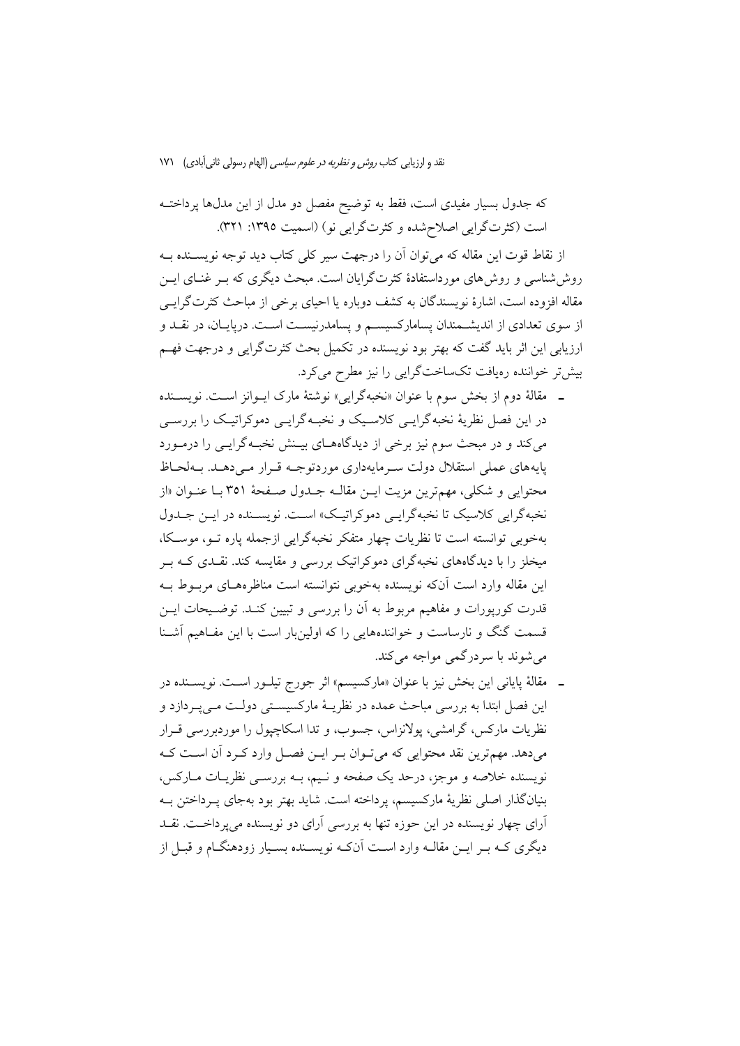که جدول بسیار مفیدی است، فقط به توضیح مفصل دو مدل از این مدلها پرداختـه است (کثرتگرایی اصلاح شده و کثرتگرایی نو) (اسمیت ١٣٩٥: ٣٢١).

از نقاط قوت این مقاله که می توان آن را درجهت سیر کلی کتاب دید توجه نویســنده بــه روش شناسی و روش های مورداستفادهٔ کثرتگرایان است. مبحث دیگری که بـر غنــای ایــن مقاله افزوده است، اشارهٔ نویسندگان به کشف دوباره یا احیای برخی از مباحث کثرتگرایـی از سوی تعدادی از اندیشـمندان پسامارکسیسـم و پسامدرنیسـت اسـت. درپایـان، در نقـد و ارزیابی این اثر باید گفت که بهتر بود نویسنده در تکمیل بحث کثرتگرایی و درجهت فهم بیش تر خواننده رهیافت تکساختگرایی را نیز مطرح می کرد.

- ـ مقالهٔ دوم از بخش سوم با عنوان «نخبهگرایی» نوشتهٔ مارک ایــوانز اســت. نویســنده در این فصل نظریهٔ نخبه گرایـی کلاسـیک و نخبـه گرایـی دموکراتیـک را بررسـی می کند و در مبحث سوم نیز برخی از دیدگاههـای بیـنش نخبـه گرایـی را درمـورد پایههای عملی استقلال دولت سـرمایهداری موردتوجـه قـرار مـیدهـد. بـهلحـاظ محتوایی و شکلی، مهمترین مزیت ایــن مقالــه جــدول صــفحهٔ ۳۵۱ بــا عنــوان «از نخبه گرایی کلاسیک تا نخبه گرایے دموکراتیک» است. نویسینده در این جیدول بهخوبی توانسته است تا نظریات چهار متفکر نخبهگرایی ازجمله پاره تـو، موسـکا، میخلز را با دیدگاههای نخبهگرای دموکراتیک بررسی و مقایسه کند. نقـدی کــه بــر این مقاله وارد است آنکه نویسنده بهخوبی نتوانسته است مناظرههـای مربـوط بـه قدرت کورپورات و مفاهیم مربوط به آن را بررسی و تبیین کنـد. توضـیحات ایـن قسمت گنگ و نارساست و خوانندههایی را که اولین بار است با این مفـاهیم آشـنا مي شوند با سردرگمي مواجه مي کند.
- ـ مقالهٔ پایانی این بخش نیز با عنوان «مارکسیسم» اثر جورج تیلــور اســت. نویســنده در این فصل ابتدا به بررسی مباحث عمده در نظریـهٔ مارکسیسـتی دولـت مـی.پـردازد و نظریات مارکس، گرامشی، یولانزاس، جسوب، و تدا اسکاچیول را موردبررسی قــرار می دهد. مهم ترین نقد محتوایی که می تـوان بـر ایــن فصــل وارد کـرد آن اسـت کــه نویسنده خلاصه و موجز، درحد یک صفحه و نـیم، بـه بررسـی نظریـات مـارکس، بنیانگذار اصلی نظریهٔ مارکسیسم، پرداخته است. شاید بهتر بود بهجای په داختن بـه آرای چهار نویسنده در این حوزه تنها به بررسی آرای دو نویسنده می پرداخـت. نقــد دیگری کـه بـر ایــن مقالــه وارد اســت آنکـه نویســنده بســیار زودهنگــام و قبــل از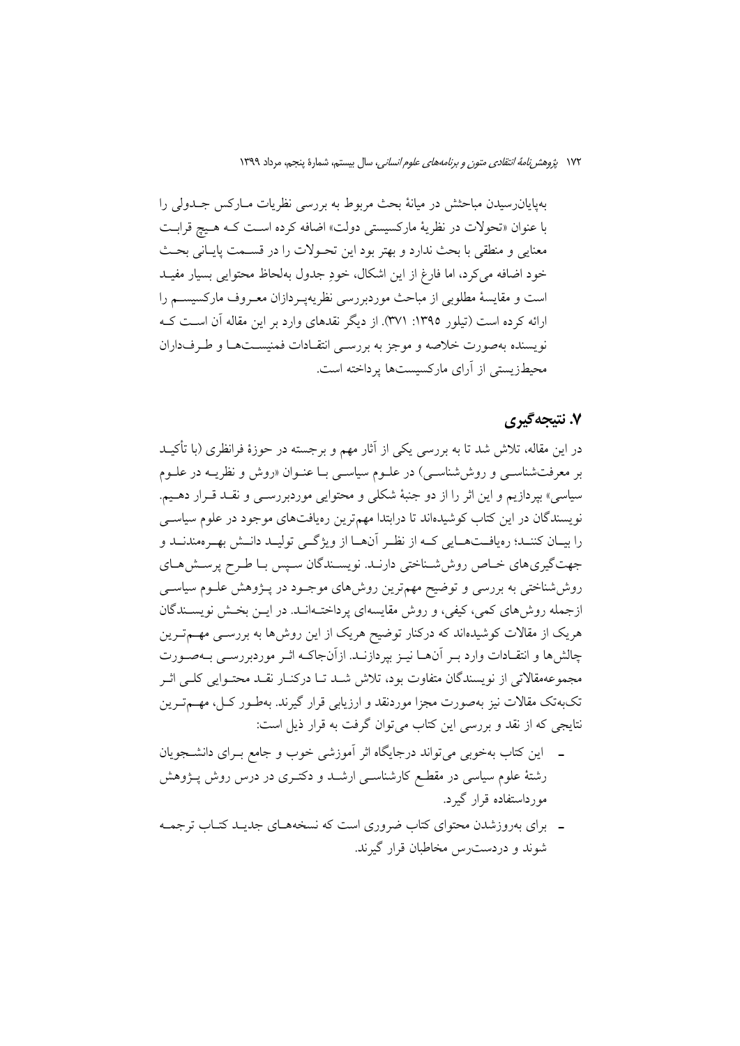۱۷۲ پژو*هش نامهٔ انتقادی متون و برنامههای علوم انسانی،* سال بیستم، شمارهٔ پنجم، مرداد ۱۳۹۹

بهپایانرسیدن مباحثش در میانهٔ بحث مربوط به بررسی نظریات مـارکس جـدولی را با عنوان «تحولات در نظريهٔ ماركسيستي دولت» اضافه كرده است كـه هـيچ قرابـت معنایی و منطقی با بحث ندارد و بهتر بود این تحـولات را در قســمت پایــانی بحــث خود اضافه می کرد، اما فارغ از این اشکال، خودِ جدول بهلحاظ محتوایی بسیار مفیـد است و مقایسهٔ مطلوبی از مباحث موردبررسی نظریهپردازان معـروف مارکسیسـم را ارائه کرده است (تیلور ١٣٩٥: ٣٧١). از دیگر نقدهای وارد بر این مقاله آن است کـه نویسنده بهصورت خلاصه و موجز به بررسـی انتقـادات فمنیسـتهـا و طـرفداران محبطز بستی از آرای مارکسیستها برداخته است.

### ۷. نتىجەگىرى

در این مقاله، تلاش شد تا به بررسی یکی از آثار مهم و برجسته در حوزهٔ فرانظری (با تأکیــد بر معرفتشناسبي و روش شناسبي) در علـوم سياسـي بـا عنـوان «روش و نظريــه در علـوم سیاسی» بپردازیم و این اثر را از دو جنبهٔ شکلی و محتوایی موردبررسـی و نقــد قــرار دهـيم. نویسندگان در این کتاب کوشیدهاند تا درابتدا مهمترین رهیافتهای موجود در علوم سیاسبی را بيــان كننــد؛ رەيافــتھــايى كــه از نظــر آنھــا از ويژگــى توليــد دانــش بهــرەمندنــد و جهت گیری های خـاص روش شـناختی دارنـد. نویسـندگان سـپس بـا طـرح پرسـش هـای روششاختی به بررسی و توضیح مهمترین روشهای موجـود در پـژوهش علـوم سیاسـی ازجمله روشهای کمی، کیفی، و روش مقایسهای پرداختـهانــد. در ایــن بخـش نویســندگان هریک از مقالات کوشیدهاند که درکنار توضیح هریک از این روش۵ا به بررسـی مهــمتــرین چالشها و انتقـادات وارد بـر آنهـا نيـز بپردازنـد. ازآنجاكـه اثـر موردبررسـي بـهصـورت مجموعهمقالاتي از نويسندگان متفاوت بود، تلاش شـد تـا دركنـار نقـد محتـوايي كلـي اثـر تکبهتک مقالات نیز بهصورت مجزا موردنقد و ارزیابی قرار گیرند. بهطـور کـل، مهــمتــرین نتايجي كه از نقد و بررسي اين كتاب مي توان گرفت به قرار ذيل است:

- ـ اين كتاب بهخوبي مي تواند درجايگاه اثر آموزشي خوب و جامع بـراي دانشــجويان رشتهٔ علوم سیاسی در مقطـع کارشناســی ارشــد و دکتــری در درس روش پــژوهش مورداستفاده قرار گیرد.
- ـــ برای بهروزشدن محتوای کتاب ضروری است که نسخههـای جدیــد کتــاب ترجمــه شوند و دردست رس مخاطبان قرار گیرند.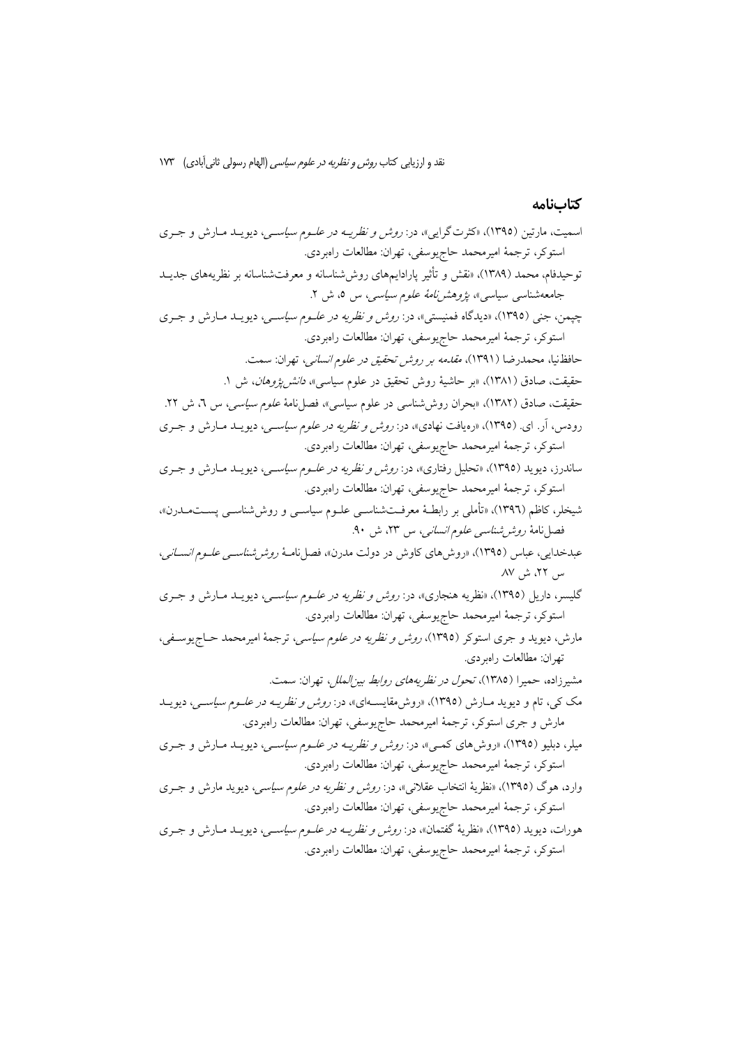# كتابنامه